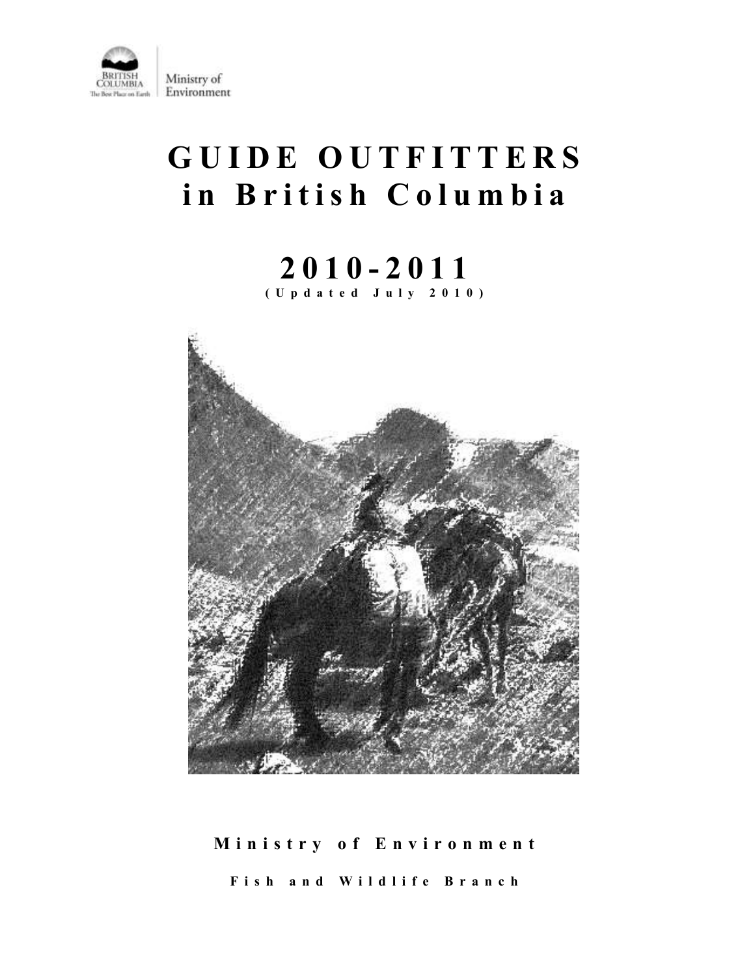

# **G U I D E O U T F I T T E R S i n B r i t i s h C o l u m b i a**

# **2 0 1 0 - 201 1 ( U p d a t e d J u l y 2 0 1 0 )**



# **M i n i s t r y o f E n v i r o n m e n t F i s h a n d W i l d l i f e B r a n c h**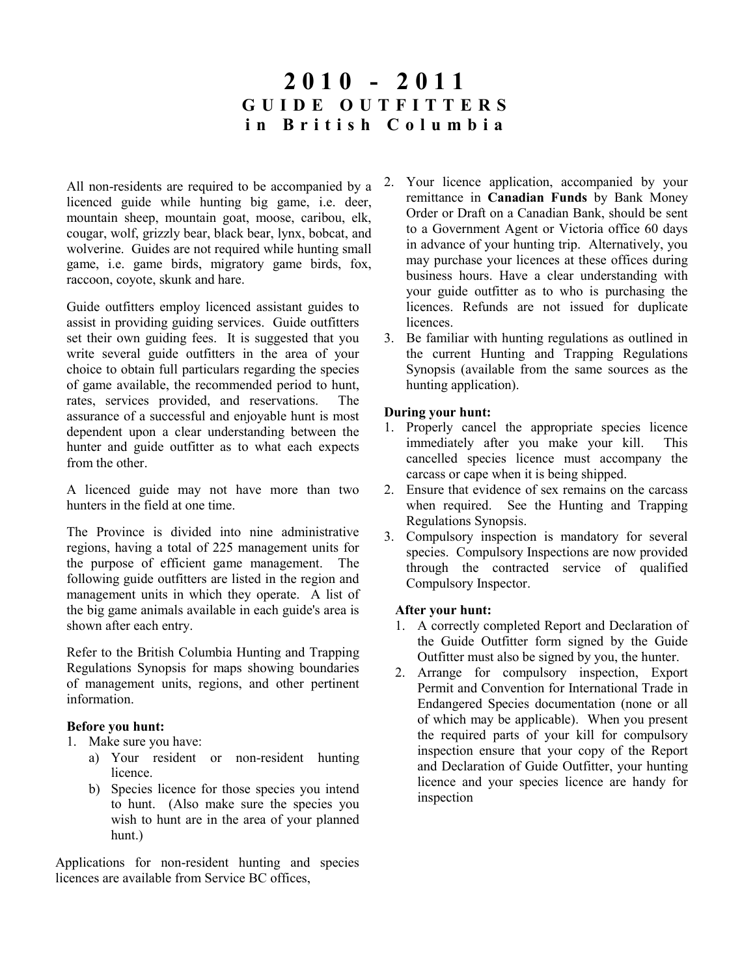## **2 0 1 0 - 201 1 G U I D E O U T F I T T E R S i n B r i t i s h C o l u m b i a**

All non-residents are required to be accompanied by a licenced guide while hunting big game, i.e. deer, mountain sheep, mountain goat, moose, caribou, elk, cougar, wolf, grizzly bear, black bear, lynx, bobcat, and wolverine. Guides are not required while hunting small game, i.e. game birds, migratory game birds, fox, raccoon, coyote, skunk and hare.

Guide outfitters employ licenced assistant guides to assist in providing guiding services. Guide outfitters set their own guiding fees. It is suggested that you write several guide outfitters in the area of your choice to obtain full particulars regarding the species of game available, the recommended period to hunt, rates, services provided, and reservations. The assurance of a successful and enjoyable hunt is most dependent upon a clear understanding between the hunter and guide outfitter as to what each expects from the other.

A licenced guide may not have more than two hunters in the field at one time.

The Province is divided into nine administrative regions, having a total of 225 management units for the purpose of efficient game management. The following guide outfitters are listed in the region and management units in which they operate. A list of the big game animals available in each guide's area is shown after each entry.

Refer to the British Columbia Hunting and Trapping Regulations Synopsis for maps showing boundaries of management units, regions, and other pertinent information.

#### **Before you hunt:**

- 1. Make sure you have:
	- a) Your resident or non-resident hunting licence.
	- b) Species licence for those species you intend to hunt. (Also make sure the species you wish to hunt are in the area of your planned hunt.)

Applications for non-resident hunting and species licences are available from Service BC offices,

- 2. Your licence application, accompanied by your remittance in **Canadian Funds** by Bank Money Order or Draft on a Canadian Bank, should be sent to a Government Agent or Victoria office 60 days in advance of your hunting trip. Alternatively, you may purchase your licences at these offices during business hours. Have a clear understanding with your guide outfitter as to who is purchasing the licences. Refunds are not issued for duplicate licences.
- 3. Be familiar with hunting regulations as outlined in the current Hunting and Trapping Regulations Synopsis (available from the same sources as the hunting application).

#### **During your hunt:**

- 1. Properly cancel the appropriate species licence immediately after you make your kill. This cancelled species licence must accompany the carcass or cape when it is being shipped.
- 2. Ensure that evidence of sex remains on the carcass when required. See the Hunting and Trapping Regulations Synopsis.
- 3. Compulsory inspection is mandatory for several species. Compulsory Inspections are now provided through the contracted service of qualified Compulsory Inspector.

#### **After your hunt:**

- 1. A correctly completed Report and Declaration of the Guide Outfitter form signed by the Guide Outfitter must also be signed by you, the hunter.
- 2. Arrange for compulsory inspection, Export Permit and Convention for International Trade in Endangered Species documentation (none or all of which may be applicable). When you present the required parts of your kill for compulsory inspection ensure that your copy of the Report and Declaration of Guide Outfitter, your hunting licence and your species licence are handy for inspection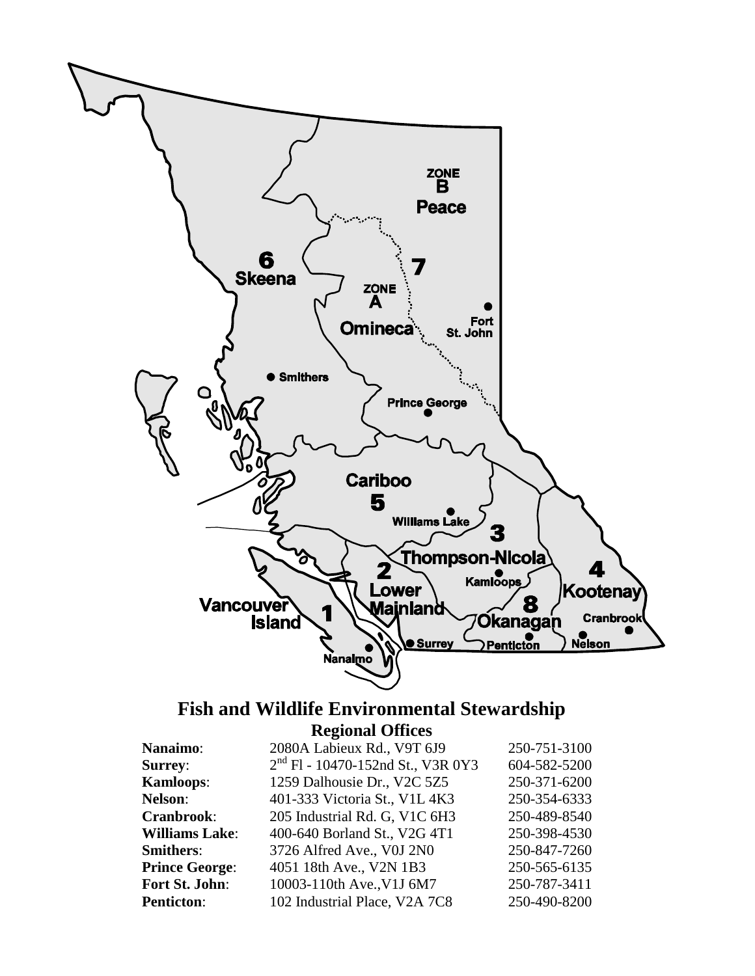

### **Fish and Wildlife Environmental Stewardship Regional Offices**

| <b>Nanaimo:</b>       | 2080A Labieux Rd., V9T 6J9                    | 250-751-3100 |
|-----------------------|-----------------------------------------------|--------------|
| <b>Surrey:</b>        | 2 <sup>nd</sup> Fl - 10470-152nd St., V3R 0Y3 | 604-582-5200 |
| <b>Kamloops:</b>      | 1259 Dalhousie Dr., V2C 5Z5                   | 250-371-6200 |
| <b>Nelson:</b>        | 401-333 Victoria St., V1L 4K3                 | 250-354-6333 |
| Cranbrook:            | 205 Industrial Rd. G, V1C 6H3                 | 250-489-8540 |
| <b>Williams Lake:</b> | 400-640 Borland St., V2G 4T1                  | 250-398-4530 |
| <b>Smithers:</b>      | 3726 Alfred Ave., V0J 2N0                     | 250-847-7260 |
| <b>Prince George:</b> | 4051 18th Ave., V2N 1B3                       | 250-565-6135 |
| Fort St. John:        | 10003-110th Ave., V1J 6M7                     | 250-787-3411 |
| <b>Penticton:</b>     | 102 Industrial Place, V2A 7C8                 | 250-490-8200 |
|                       |                                               |              |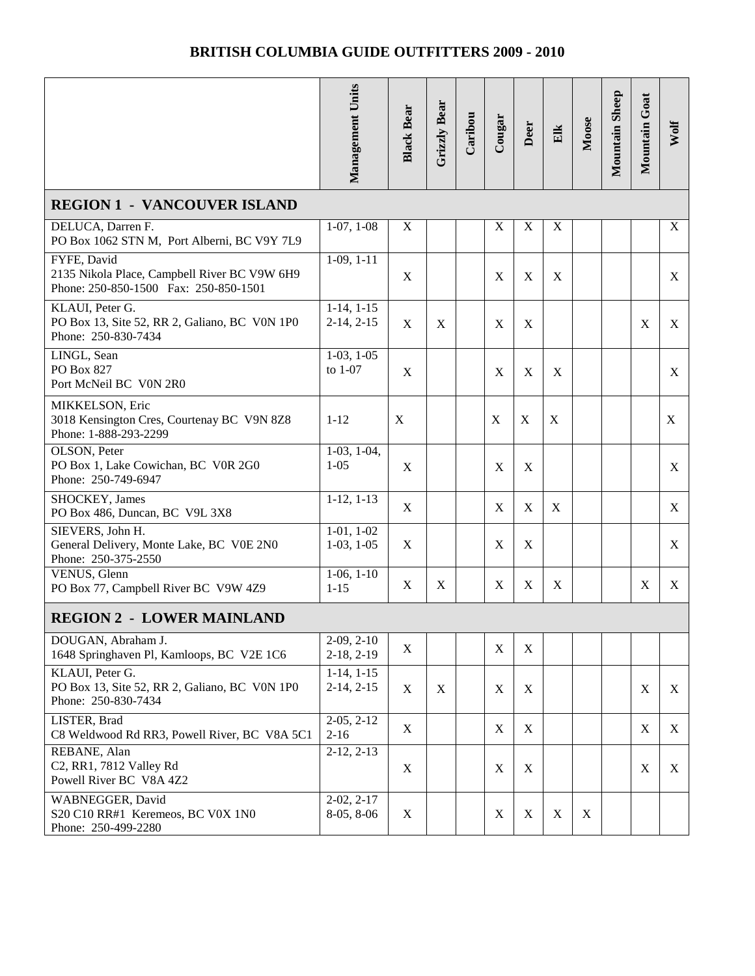|                                                                                                      | Management Units                | <b>Black Bear</b> | <b>Grizzly Bear</b> | Caribou | Cougar           | Deer                      | Elk         | Moose | Mountain Sheep | Mountain Goat | Wolf        |
|------------------------------------------------------------------------------------------------------|---------------------------------|-------------------|---------------------|---------|------------------|---------------------------|-------------|-------|----------------|---------------|-------------|
| <b>REGION 1 - VANCOUVER ISLAND</b>                                                                   |                                 |                   |                     |         |                  |                           |             |       |                |               |             |
| DELUCA, Darren F.<br>PO Box 1062 STN M, Port Alberni, BC V9Y 7L9                                     | $1-07, 1-08$                    | $\mathbf X$       |                     |         | $\mathbf X$      | $\boldsymbol{\mathrm{X}}$ | $\mathbf X$ |       |                |               | $\mathbf X$ |
| FYFE, David<br>2135 Nikola Place, Campbell River BC V9W 6H9<br>Phone: 250-850-1500 Fax: 250-850-1501 | $1-09, 1-11$                    | $\mathbf X$       |                     |         | X                | $\mathbf X$               | X           |       |                |               | X           |
| KLAUI, Peter G.<br>PO Box 13, Site 52, RR 2, Galiano, BC V0N 1P0<br>Phone: 250-830-7434              | $1-14, 1-15$<br>$2-14, 2-15$    | $\mathbf X$       | X                   |         | X                | X                         |             |       |                | X             | X           |
| LINGL, Sean<br>PO Box 827<br>Port McNeil BC V0N 2R0                                                  | $1-03, 1-05$<br>to 1-07         | X                 |                     |         | X                | X                         | X           |       |                |               | X           |
| MIKKELSON, Eric<br>3018 Kensington Cres, Courtenay BC V9N 8Z8<br>Phone: 1-888-293-2299               | $1 - 12$                        | $\mathbf X$       |                     |         | X                | $\mathbf X$               | X           |       |                |               | X           |
| OLSON, Peter<br>PO Box 1, Lake Cowichan, BC V0R 2G0<br>Phone: 250-749-6947                           | $1-03$ , $1-04$ ,<br>$1 - 05$   | X                 |                     |         | $\mathbf X$      | $\mathbf X$               |             |       |                |               | X           |
| SHOCKEY, James<br>PO Box 486, Duncan, BC V9L 3X8                                                     | $1-12, 1-13$                    | $\mathbf X$       |                     |         | X                | $\mathbf X$               | X           |       |                |               | X           |
| SIEVERS, John H.<br>General Delivery, Monte Lake, BC V0E 2N0<br>Phone: 250-375-2550                  | $1-01, 1-02$<br>$1-03, 1-05$    | X                 |                     |         | X                | $\mathbf X$               |             |       |                |               | X           |
| VENUS, Glenn<br>PO Box 77, Campbell River BC V9W 4Z9                                                 | $1-06, 1-10$<br>$1 - 15$        | $\mathbf X$       | X                   |         | $\mathbf X$      | $\mathbf X$               | $\mathbf X$ |       |                | $\mathbf X$   | X           |
| <b>REGION 2 - LOWER MAINLAND</b>                                                                     |                                 |                   |                     |         |                  |                           |             |       |                |               |             |
| DOUGAN, Abraham J.<br>1648 Springhaven Pl, Kamloops, BC V2E 1C6                                      | $2-09, 2-10$<br>$2-18, 2-19$    | X                 |                     |         | $\mathbf X$      | X                         |             |       |                |               |             |
| KLAUI, Peter G.<br>PO Box 13, Site 52, RR 2, Galiano, BC V0N 1P0<br>Phone: 250-830-7434              | $1-14$ , $1-15$<br>$2-14, 2-15$ | X                 | X                   |         | X                | X                         |             |       |                | $\mathbf X$   | X           |
| LISTER, Brad<br>C8 Weldwood Rd RR3, Powell River, BC V8A 5C1                                         | $2-05, 2-12$<br>$2-16$          | X                 |                     |         | $\mathbf X$      | X                         |             |       |                | X             | X           |
| REBANE, Alan<br>C2, RR1, 7812 Valley Rd<br>Powell River BC V8A 4Z2                                   | $2-12, 2-13$                    | $\mathbf X$       |                     |         | $\mathbf X$      | X                         |             |       |                | $\mathbf X$   | X           |
| WABNEGGER, David<br>S20 C10 RR#1 Keremeos, BC V0X 1N0<br>Phone: 250-499-2280                         | $2-02, 2-17$<br>8-05, 8-06      | X                 |                     |         | $\boldsymbol{X}$ | X                         | X           | X     |                |               |             |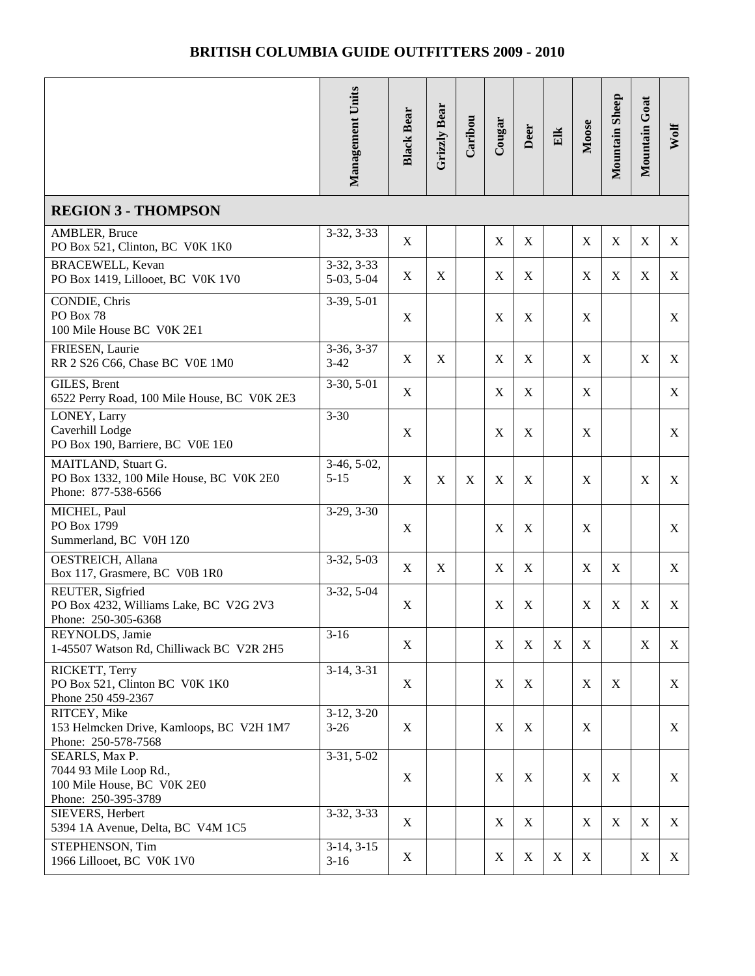|                                                                                               | Management Units             | <b>Black Bear</b> | Grizzly Bear | Caribou | Cougar           | Deer                      | Elk | Moose       | Mountain Sheep | Mountain Goat             | Wolf |
|-----------------------------------------------------------------------------------------------|------------------------------|-------------------|--------------|---------|------------------|---------------------------|-----|-------------|----------------|---------------------------|------|
| <b>REGION 3 - THOMPSON</b>                                                                    |                              |                   |              |         |                  |                           |     |             |                |                           |      |
| <b>AMBLER, Bruce</b><br>PO Box 521, Clinton, BC V0K 1K0                                       | $3-32, 3-33$                 | $\mathbf X$       |              |         | X                | $\boldsymbol{\mathrm{X}}$ |     | X           | $\mathbf X$    | $\mathbf X$               | X    |
| BRACEWELL, Kevan<br>PO Box 1419, Lillooet, BC V0K 1V0                                         | $3-32, 3-33$<br>$5-03, 5-04$ | $\mathbf X$       | X            |         | X                | $\mathbf X$               |     | X           | X              | X                         | X    |
| CONDIE, Chris<br>PO Box 78<br>100 Mile House BC V0K 2E1                                       | $3-39, 5-01$                 | $\mathbf X$       |              |         | X                | X                         |     | $\mathbf X$ |                |                           | X    |
| FRIESEN, Laurie<br>RR 2 S26 C66, Chase BC V0E 1M0                                             | $3-36, 3-37$<br>$3-42$       | $\mathbf X$       | X            |         | X                | X                         |     | X           |                | $\mathbf X$               | X    |
| GILES, Brent<br>6522 Perry Road, 100 Mile House, BC V0K 2E3                                   | $3-30, 5-01$                 | $\mathbf X$       |              |         | $\boldsymbol{X}$ | $\mathbf X$               |     | X           |                |                           | X    |
| LONEY, Larry<br>Caverhill Lodge<br>PO Box 190, Barriere, BC V0E 1E0                           | $3 - 30$                     | X                 |              |         | X                | X                         |     | X           |                |                           | X    |
| MAITLAND, Stuart G.<br>PO Box 1332, 100 Mile House, BC V0K 2E0<br>Phone: 877-538-6566         | $3-46, 5-02,$<br>$5 - 15$    | $\mathbf X$       | X            | X       | X                | X                         |     | X           |                | $\mathbf X$               | X    |
| MICHEL, Paul<br>PO Box 1799<br>Summerland, BC V0H 1Z0                                         | $3-29, 3-30$                 | $\mathbf X$       |              |         | X                | $\boldsymbol{\mathrm{X}}$ |     | X           |                |                           | X    |
| <b>OESTREICH, Allana</b><br>Box 117, Grasmere, BC V0B 1R0                                     | $3-32, 5-03$                 | $\mathbf X$       | X            |         | X                | X                         |     | X           | X              |                           | X    |
| REUTER, Sigfried<br>PO Box 4232, Williams Lake, BC V2G 2V3<br>Phone: 250-305-6368             | $3-32, 5-04$                 | X                 |              |         | X                | X                         |     | X           | X              | $\boldsymbol{\mathrm{X}}$ | X    |
| REYNOLDS, Jamie<br>1-45507 Watson Rd, Chilliwack BC V2R 2H5                                   | $3-16$                       | X                 |              |         | X                | $\mathbf X$               | X   | X           |                | $\mathbf X$               | X    |
| RICKETT, Terry<br>PO Box 521, Clinton BC V0K 1K0<br>Phone 250 459-2367                        | $3-14, 3-31$                 | $\mathbf X$       |              |         | $\mathbf X$      | $\mathbf X$               |     | X           | X              |                           | X    |
| RITCEY, Mike<br>153 Helmcken Drive, Kamloops, BC V2H 1M7<br>Phone: 250-578-7568               | $3-12, 3-20$<br>$3-26$       | $\mathbf X$       |              |         | X                | X                         |     | X           |                |                           | X    |
| SEARLS, Max P.<br>7044 93 Mile Loop Rd.,<br>100 Mile House, BC V0K 2E0<br>Phone: 250-395-3789 | $3-31, 5-02$                 | X                 |              |         | $\boldsymbol{X}$ | $\mathbf X$               |     | $\mathbf X$ | X              |                           | X    |
| SIEVERS, Herbert<br>5394 1A Avenue, Delta, BC V4M 1C5                                         | $3-32, 3-33$                 | X                 |              |         | X                | X                         |     | X           | X              | X                         | X    |
| STEPHENSON, Tim<br>1966 Lillooet, BC V0K 1V0                                                  | $3-14, 3-15$<br>$3-16$       | X                 |              |         | X                | X                         | X   | X           |                | $\mathbf X$               | X    |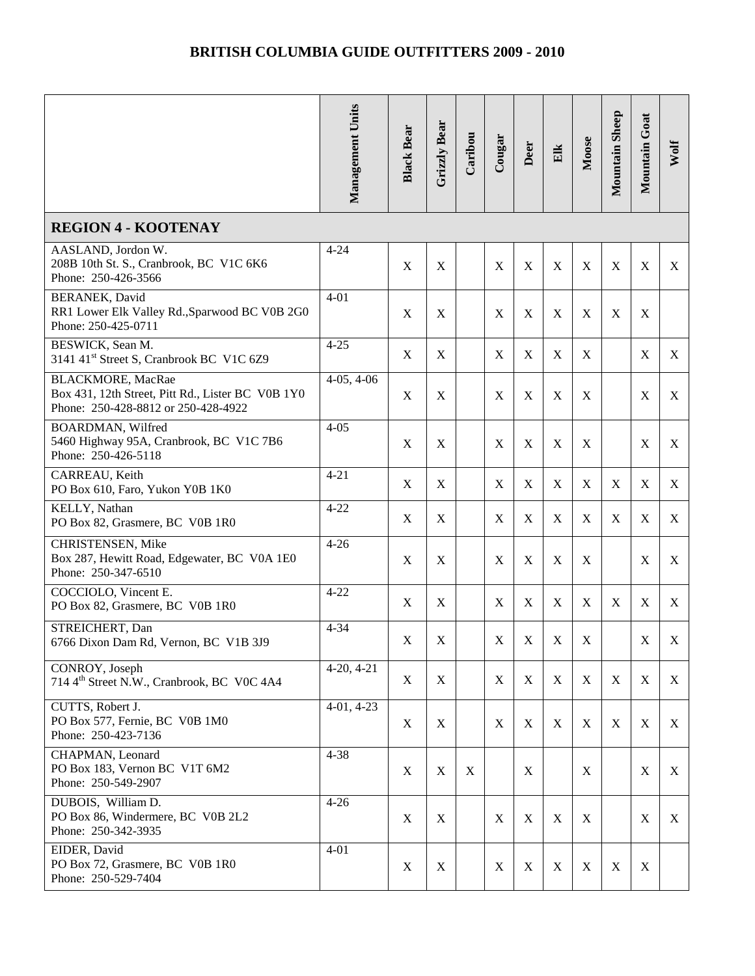|                                                                                                                      | Management Units | <b>Black Bear</b> | Grizzly Bear | Caribou | Cougar           | Deer        | Elk         | Moose       | <b>Mountain Sheep</b> | Mountain Goat | Wolf        |
|----------------------------------------------------------------------------------------------------------------------|------------------|-------------------|--------------|---------|------------------|-------------|-------------|-------------|-----------------------|---------------|-------------|
| <b>REGION 4 - KOOTENAY</b>                                                                                           |                  |                   |              |         |                  |             |             |             |                       |               |             |
| AASLAND, Jordon W.<br>208B 10th St. S., Cranbrook, BC V1C 6K6<br>Phone: 250-426-3566                                 | $4 - 24$         | X                 | $\mathbf X$  |         | X                | X           | $\mathbf X$ | X           | $\mathbf X$           | X             | X           |
| BERANEK, David<br>RR1 Lower Elk Valley Rd., Sparwood BC V0B 2G0<br>Phone: 250-425-0711                               | $4 - 01$         | X                 | X            |         | X                | X           | X           | X           | X                     | X             |             |
| BESWICK, Sean M.<br>3141 41 <sup>st</sup> Street S, Cranbrook BC V1C 6Z9                                             | $4 - 25$         | X                 | X            |         | X                | X           | X           | X           |                       | X             | X           |
| <b>BLACKMORE, MacRae</b><br>Box 431, 12th Street, Pitt Rd., Lister BC V0B 1Y0<br>Phone: 250-428-8812 or 250-428-4922 | $4-05, 4-06$     | $\mathbf X$       | X            |         | $\mathbf X$      | $\mathbf X$ | X           | X           |                       | $\mathbf X$   | X           |
| <b>BOARDMAN, Wilfred</b><br>5460 Highway 95A, Cranbrook, BC V1C 7B6<br>Phone: 250-426-5118                           | $4 - 05$         | X                 | X            |         | X                | X           | X           | X           |                       | X             | X           |
| CARREAU, Keith<br>PO Box 610, Faro, Yukon Y0B 1K0                                                                    | $4 - 21$         | X                 | X            |         | X                | X           | X           | X           | X                     | X             | X           |
| KELLY, Nathan<br>PO Box 82, Grasmere, BC V0B 1R0                                                                     | $4 - 22$         | X                 | X            |         | $\mathbf X$      | $\mathbf X$ | X           | $\mathbf X$ | $\mathbf X$           | X             | X           |
| CHRISTENSEN, Mike<br>Box 287, Hewitt Road, Edgewater, BC V0A 1E0<br>Phone: 250-347-6510                              | $4 - 26$         | X                 | X            |         | X                | X           | X           | X           |                       | $\mathbf X$   | X           |
| COCCIOLO, Vincent E.<br>PO Box 82, Grasmere, BC V0B 1R0                                                              | $4 - 22$         | $\mathbf X$       | X            |         | $\mathbf X$      | $\mathbf X$ | X           | X           | $\mathbf X$           | X             | X           |
| STREICHERT, Dan<br>6766 Dixon Dam Rd, Vernon, BC V1B 3J9                                                             | $4 - 34$         | $\mathbf X$       | $\mathbf X$  |         | $\mathbf X$      | $\mathbf X$ | $\mathbf X$ | $\mathbf X$ |                       | $\mathbf X$   | $\mathbf X$ |
| CONROY, Joseph<br>714 4 <sup>th</sup> Street N.W., Cranbrook, BC V0C 4A4                                             | $4-20, 4-21$     | X                 | X            |         | $\mathbf X$      | X           | X           | X           | $\mathbf X$           | X             | X           |
| CUTTS, Robert J.<br>PO Box 577, Fernie, BC V0B 1M0<br>Phone: 250-423-7136                                            | $4-01, 4-23$     | X                 | X            |         | $\boldsymbol{X}$ | X           | X           | X           | X                     | X             | X           |
| CHAPMAN, Leonard<br>PO Box 183, Vernon BC V1T 6M2<br>Phone: 250-549-2907                                             | $4 - 38$         | X                 | X            | X       |                  | X           |             | X           |                       | X             | X           |
| DUBOIS, William D.<br>PO Box 86, Windermere, BC V0B 2L2<br>Phone: 250-342-3935                                       | $4 - 26$         | X                 | X            |         | $\mathbf X$      | X           | $\mathbf X$ | X           |                       | $\mathbf X$   | X           |
| EIDER, David<br>PO Box 72, Grasmere, BC V0B 1R0<br>Phone: 250-529-7404                                               | $4 - 01$         | X                 | X            |         | $\mathbf X$      | $\mathbf X$ | $\mathbf X$ | X           | $\mathbf X$           | X             |             |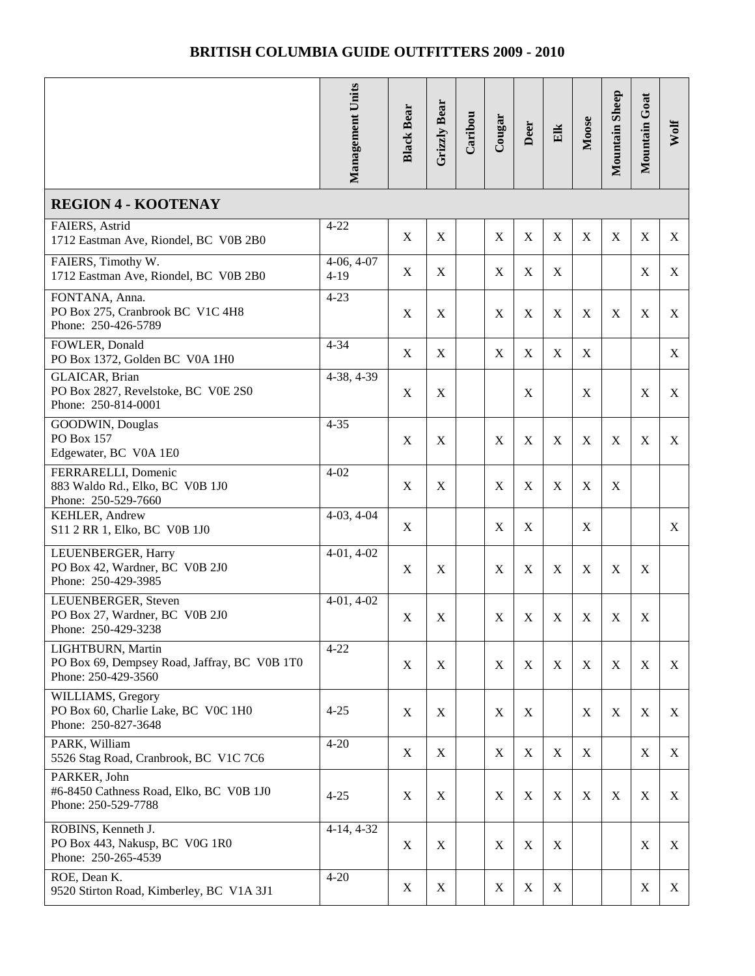|                                                                                          | Management Units       | <b>Black Bear</b>         | Grizzly Bear | Caribou | Cougar           | Deer        | Elk         | Moose       | Mountain Sheep | Mountain Goat | Wolf |
|------------------------------------------------------------------------------------------|------------------------|---------------------------|--------------|---------|------------------|-------------|-------------|-------------|----------------|---------------|------|
| <b>REGION 4 - KOOTENAY</b>                                                               |                        |                           |              |         |                  |             |             |             |                |               |      |
| FAIERS, Astrid<br>1712 Eastman Ave, Riondel, BC V0B 2B0                                  | $4 - 22$               | $\mathbf X$               | X            |         | X                | $\mathbf X$ | $\mathbf X$ | X           | X              | $\mathbf X$   | X    |
| FAIERS, Timothy W.<br>1712 Eastman Ave, Riondel, BC V0B 2B0                              | $4-06, 4-07$<br>$4-19$ | $\mathbf X$               | X            |         | X                | X           | X           |             |                | $\mathbf X$   | X    |
| FONTANA, Anna.<br>PO Box 275, Cranbrook BC V1C 4H8<br>Phone: 250-426-5789                | $4 - 23$               | $\mathbf X$               | X            |         | X                | X           | X           | X           | X              | X             | X    |
| FOWLER, Donald<br>PO Box 1372, Golden BC V0A 1H0                                         | $4 - 34$               | $\mathbf X$               | X            |         | X                | X           | X           | X           |                |               | X    |
| GLAICAR, Brian<br>PO Box 2827, Revelstoke, BC V0E 2S0<br>Phone: 250-814-0001             | 4-38, 4-39             | $\mathbf X$               | $\mathbf X$  |         |                  | $\mathbf X$ |             | X           |                | $\mathbf X$   | X    |
| GOODWIN, Douglas<br>PO Box 157<br>Edgewater, BC V0A 1E0                                  | $4 - 35$               | $\mathbf X$               | X            |         | X                | X           | X           | X           | X              | X             | X    |
| FERRARELLI, Domenic<br>883 Waldo Rd., Elko, BC V0B 1J0<br>Phone: 250-529-7660            | $4 - 02$               | $\mathbf X$               | X            |         | X                | X           | X           | X           | X              |               |      |
| KEHLER, Andrew<br>S11 2 RR 1, Elko, BC V0B 1J0                                           | $4-03, 4-04$           | $\mathbf X$               |              |         | $\boldsymbol{X}$ | $\mathbf X$ |             | X           |                |               | X    |
| LEUENBERGER, Harry<br>PO Box 42, Wardner, BC V0B 2J0<br>Phone: 250-429-3985              | $4-01, 4-02$           | $\boldsymbol{\mathrm{X}}$ | X            |         | X                | $\mathbf X$ | $\mathbf X$ | X           | X              | $\mathbf X$   |      |
| LEUENBERGER, Steven<br>PO Box 27, Wardner, BC V0B 2J0<br>Phone: 250-429-3238             | $4-01, 4-02$           | $\mathbf X$               | $\mathbf X$  |         | $\mathbf X$      | $\mathbf X$ | $\mathbf X$ | $\mathbf X$ | $\mathbf X$    | $\mathbf X$   |      |
| LIGHTBURN, Martin<br>PO Box 69, Dempsey Road, Jaffray, BC V0B 1T0<br>Phone: 250-429-3560 | $4 - 22$               | $\mathbf X$               | X            |         | X                | X           | X           | X           | X              | $\mathbf X$   | X    |
| WILLIAMS, Gregory<br>PO Box 60, Charlie Lake, BC VOC 1H0<br>Phone: 250-827-3648          | $4 - 25$               | X                         | X            |         | X                | $\mathbf X$ |             | X           | X              | X             | X    |
| PARK, William<br>5526 Stag Road, Cranbrook, BC V1C 7C6                                   | $4 - 20$               | $\mathbf X$               | X            |         | X                | $\mathbf X$ | $\mathbf X$ | X           |                | $\mathbf X$   | X    |
| PARKER, John<br>#6-8450 Cathness Road, Elko, BC V0B 1J0<br>Phone: 250-529-7788           | $4 - 25$               | $\mathbf X$               | X            |         | X                | $\mathbf X$ | $\mathbf X$ | X           | X              | $\mathbf X$   | X    |
| ROBINS, Kenneth J.<br>PO Box 443, Nakusp, BC V0G 1R0<br>Phone: 250-265-4539              | $4-14, 4-32$           | $\mathbf X$               | X            |         | X                | $\mathbf X$ | X           |             |                | $\mathbf X$   | X    |
| ROE, Dean K.<br>9520 Stirton Road, Kimberley, BC V1A 3J1                                 | $4 - 20$               | $\mathbf X$               | X            |         | X                | X           | X           |             |                | $\mathbf X$   | X    |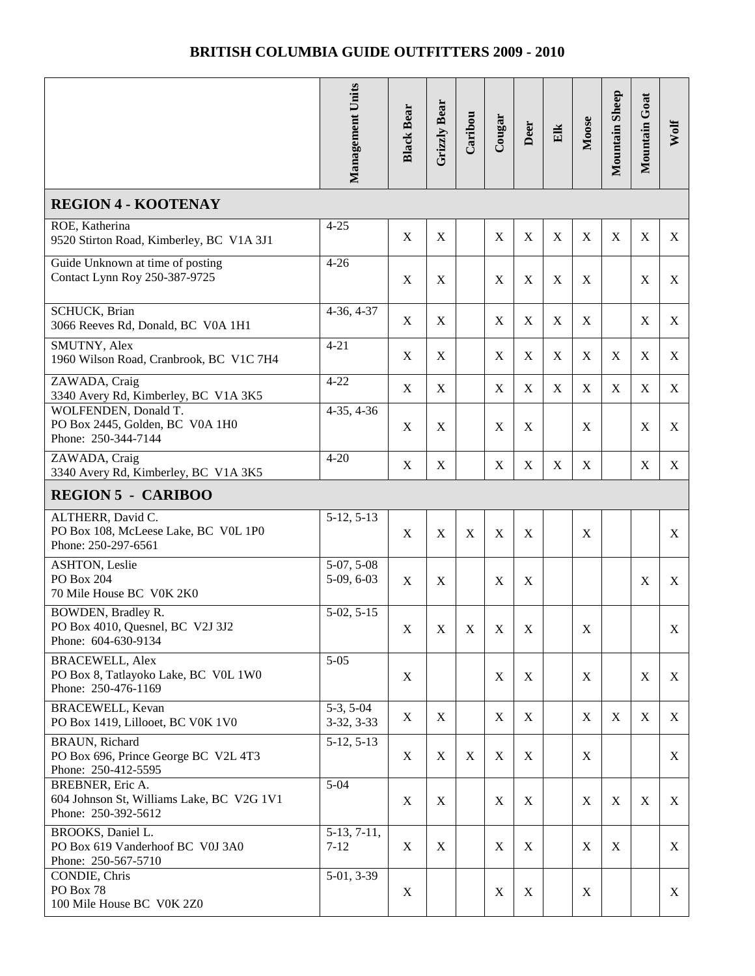|                                                                                       | Management Units             | <b>Black Bear</b> | Grizzly Bear | Caribou     | Cougar           | Deer             | Elk         | Moose       | Mountain Sheep | Mountain Goat | Wolf        |
|---------------------------------------------------------------------------------------|------------------------------|-------------------|--------------|-------------|------------------|------------------|-------------|-------------|----------------|---------------|-------------|
| <b>REGION 4 - KOOTENAY</b>                                                            |                              |                   |              |             |                  |                  |             |             |                |               |             |
| ROE, Katherina<br>9520 Stirton Road, Kimberley, BC V1A 3J1                            | $4 - 25$                     | $\mathbf X$       | X            |             | $\mathbf X$      | $\mathbf X$      | $\mathbf X$ | $\mathbf X$ | $\mathbf X$    | $\mathbf X$   | X           |
| Guide Unknown at time of posting<br>Contact Lynn Roy 250-387-9725                     | $4 - 26$                     | $\mathbf X$       | X            |             | X                | $\mathbf X$      | $\mathbf X$ | X           |                | $\mathbf X$   | X           |
| SCHUCK, Brian<br>3066 Reeves Rd, Donald, BC V0A 1H1                                   | $4-36, 4-37$                 | $\mathbf X$       | X            |             | $\mathbf X$      | $\mathbf X$      | X           | X           |                | $\mathbf X$   | X           |
| SMUTNY, Alex<br>1960 Wilson Road, Cranbrook, BC V1C 7H4                               | $4 - 21$                     | $\mathbf X$       | X            |             | $\mathbf X$      | $\mathbf X$      | $\mathbf X$ | $\mathbf X$ | $\mathbf X$    | $\mathbf X$   | X           |
| ZAWADA, Craig<br>3340 Avery Rd, Kimberley, BC V1A 3K5                                 | $4 - 22$                     | X                 | X            |             | X                | $\mathbf X$      | X           | X           | X              | X             | X           |
| WOLFENDEN, Donald T.<br>PO Box 2445, Golden, BC V0A 1H0<br>Phone: 250-344-7144        | $4-35, 4-36$                 | $\mathbf X$       | X            |             | X                | $\mathbf X$      |             | X           |                | $\mathbf X$   | X           |
| ZAWADA, Craig<br>3340 Avery Rd, Kimberley, BC V1A 3K5                                 | $4 - 20$                     | X                 | X            |             | X                | $\mathbf X$      | X           | X           |                | $\mathbf X$   | X           |
| <b>REGION 5 - CARIBOO</b>                                                             |                              |                   |              |             |                  |                  |             |             |                |               |             |
| ALTHERR, David C.<br>PO Box 108, McLeese Lake, BC V0L 1P0<br>Phone: 250-297-6561      | $5-12, 5-13$                 | $\mathbf X$       | X            | $\mathbf X$ | X                | $\boldsymbol{X}$ |             | $\mathbf X$ |                |               | X           |
| <b>ASHTON, Leslie</b><br>PO Box 204<br>70 Mile House BC V0K 2K0                       | $5-07, 5-08$<br>$5-09, 6-03$ | X                 | X            |             | X                | $\mathbf X$      |             |             |                | $\mathbf X$   | X           |
| BOWDEN, Bradley R.<br>PO Box 4010, Quesnel, BC V2J 3J2<br>Phone: 604-630-9134         | $5-02, 5-15$                 | $\mathbf X$       | $\mathbf X$  | $\mathbf X$ | $\mathbf X$      | $\mathbf X$      |             | $\mathbf X$ |                |               | $\mathbf X$ |
| <b>BRACEWELL, Alex</b><br>PO Box 8, Tatlayoko Lake, BC V0L 1W0<br>Phone: 250-476-1169 | $5 - 05$                     | X                 |              |             | $\mathbf X$      | $\boldsymbol{X}$ |             | X           |                | X             | X           |
| <b>BRACEWELL, Kevan</b><br>PO Box 1419, Lillooet, BC V0K 1V0                          | $5-3, 5-04$<br>3-32, 3-33    | X                 | X            |             | X                | $\boldsymbol{X}$ |             | X           | X              | X             | X           |
| <b>BRAUN, Richard</b><br>PO Box 696, Prince George BC V2L 4T3<br>Phone: 250-412-5595  | $5-12, 5-13$                 | X                 | X            | X           | $\boldsymbol{X}$ | $\mathbf X$      |             | X           |                |               | X           |
| BREBNER, Eric A.<br>604 Johnson St, Williams Lake, BC V2G 1V1<br>Phone: 250-392-5612  | $5 - 04$                     | X                 | X            |             | $\mathbf X$      | X                |             | $\mathbf X$ | X              | $\mathbf X$   | X           |
| BROOKS, Daniel L.<br>PO Box 619 Vanderhoof BC V0J 3A0<br>Phone: 250-567-5710          | $5-13, 7-11,$<br>$7 - 12$    | X                 | X            |             | X                | X                |             | $\mathbf X$ | X              |               | X           |
| CONDIE, Chris<br>PO Box 78<br>100 Mile House BC V0K 2Z0                               | 5-01, 3-39                   | X                 |              |             | X                | $\mathbf X$      |             | X           |                |               | X           |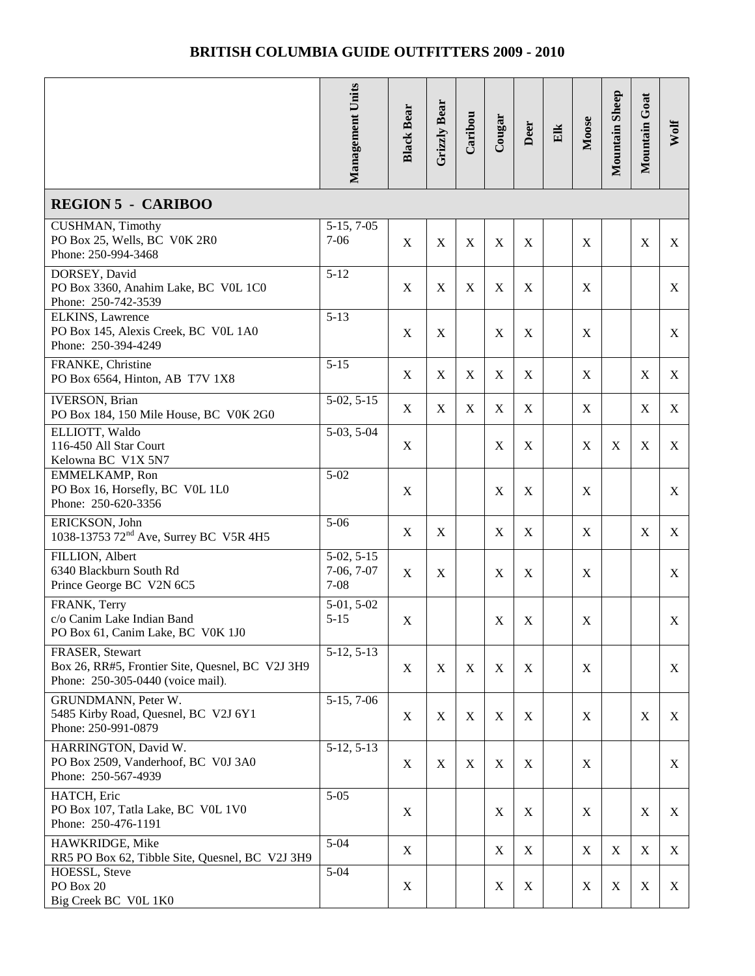|                                                                                                          | Management Units                         | <b>Black Bear</b>         | Grizzly Bear | Caribou     | Cougar           | Deer        | Elk | Moose       | <b>Mountain Sheep</b> | Mountain Goat | Wolf |
|----------------------------------------------------------------------------------------------------------|------------------------------------------|---------------------------|--------------|-------------|------------------|-------------|-----|-------------|-----------------------|---------------|------|
| <b>REGION 5 - CARIBOO</b>                                                                                |                                          |                           |              |             |                  |             |     |             |                       |               |      |
| <b>CUSHMAN</b> , Timothy<br>PO Box 25, Wells, BC V0K 2R0<br>Phone: 250-994-3468                          | $5-15, 7-05$<br>$7 - 06$                 | $\mathbf X$               | $\mathbf X$  | $\mathbf X$ | $\boldsymbol{X}$ | $\mathbf X$ |     | X           |                       | $\mathbf X$   | X    |
| DORSEY, David<br>PO Box 3360, Anahim Lake, BC V0L 1C0<br>Phone: 250-742-3539                             | $5 - 12$                                 | $\boldsymbol{\mathrm{X}}$ | $\mathbf X$  | $\mathbf X$ | $\mathbf X$      | $\mathbf X$ |     | X           |                       |               | X    |
| ELKINS, Lawrence<br>PO Box 145, Alexis Creek, BC VOL 1A0<br>Phone: 250-394-4249                          | $5 - 13$                                 | X                         | X            |             | $\boldsymbol{X}$ | $\mathbf X$ |     | X           |                       |               | X    |
| FRANKE, Christine<br>PO Box 6564, Hinton, AB T7V 1X8                                                     | $5 - 15$                                 | $\mathbf X$               | X            | $\mathbf X$ | $\mathbf X$      | $\mathbf X$ |     | X           |                       | $\mathbf X$   | X    |
| <b>IVERSON</b> , Brian<br>PO Box 184, 150 Mile House, BC V0K 2G0                                         | $5-02, 5-15$                             | $\mathbf X$               | X            | X           | X                | X           |     | X           |                       | X             | X    |
| ELLIOTT, Waldo<br>116-450 All Star Court<br>Kelowna BC V1X 5N7                                           | $5-03, 5-04$                             | X                         |              |             | X                | $\mathbf X$ |     | X           | X                     | X             | X    |
| EMMELKAMP, Ron<br>PO Box 16, Horsefly, BC VOL 1L0<br>Phone: 250-620-3356                                 | $5 - 02$                                 | $\boldsymbol{\mathrm{X}}$ |              |             | $\mathbf X$      | $\mathbf X$ |     | X           |                       |               | X    |
| ERICKSON, John<br>1038-13753 72 <sup>nd</sup> Ave, Surrey BC V5R 4H5                                     | $5 - 06$                                 | X                         | X            |             | X                | X           |     | X           |                       | $\mathbf X$   | X    |
| FILLION, Albert<br>6340 Blackburn South Rd<br>Prince George BC V2N 6C5                                   | $5-02, 5-15$<br>$7-06, 7-07$<br>$7 - 08$ | X                         | X            |             | X                | $\mathbf X$ |     | X           |                       |               | X    |
| FRANK, Terry<br>c/o Canim Lake Indian Band<br>PO Box 61, Canim Lake, BC V0K 1J0                          | $5-01, 5-02$<br>$5 - 15$                 | $\mathbf X$               |              |             | X                | X           |     | $\mathbf X$ |                       |               | X    |
| FRASER, Stewart<br>Box 26, RR#5, Frontier Site, Quesnel, BC V2J 3H9<br>Phone: 250-305-0440 (voice mail). | $5-12, 5-13$                             | X                         | X            | X           | X                | X           |     | X           |                       |               | X    |
| GRUNDMANN, Peter W.<br>5485 Kirby Road, Quesnel, BC V2J 6Y1<br>Phone: 250-991-0879                       | $5-15, 7-06$                             | X                         | X            | $\mathbf X$ | $\mathbf X$      | $\mathbf X$ |     | X           |                       | X             | X    |
| HARRINGTON, David W.<br>PO Box 2509, Vanderhoof, BC V0J 3A0<br>Phone: 250-567-4939                       | $5-12, 5-13$                             | X                         | X            | X           | $\mathbf X$      | X           |     | X           |                       |               | X    |
| HATCH, Eric<br>PO Box 107, Tatla Lake, BC V0L 1V0<br>Phone: 250-476-1191                                 | $5 - 05$                                 | X                         |              |             | $\boldsymbol{X}$ | $\mathbf X$ |     | X           |                       | X             | X    |
| HAWKRIDGE, Mike<br>RR5 PO Box 62, Tibble Site, Quesnel, BC V2J 3H9                                       | $5 - 04$                                 | X                         |              |             | X                | X           |     | X           | X                     | X             | X    |
| HOESSL, Steve<br>PO Box 20<br>Big Creek BC V0L 1K0                                                       | $5 - 04$                                 | X                         |              |             | $\mathbf X$      | $\mathbf X$ |     | X           | X                     | $\mathbf X$   | X    |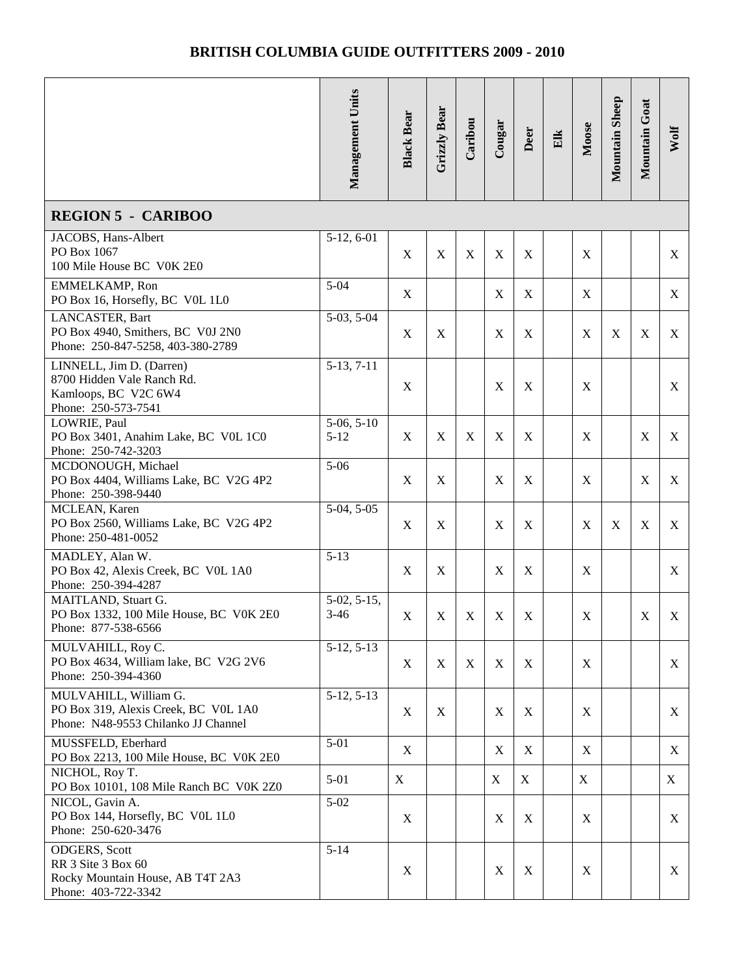|                                                                                                       | Management Units         | <b>Black Bear</b>         | Grizzly Bear     | Caribou | Cougar           | Deer        | Elk | Moose | Mountain Sheep | Mountain Goat | Wolf |
|-------------------------------------------------------------------------------------------------------|--------------------------|---------------------------|------------------|---------|------------------|-------------|-----|-------|----------------|---------------|------|
| <b>REGION 5 - CARIBOO</b>                                                                             |                          |                           |                  |         |                  |             |     |       |                |               |      |
| JACOBS, Hans-Albert<br>PO Box 1067<br>100 Mile House BC V0K 2E0                                       | 5-12, 6-01               | X                         | $\boldsymbol{X}$ | X       | $\boldsymbol{X}$ | X           |     | X     |                |               | X    |
| EMMELKAMP, Ron<br>PO Box 16, Horsefly, BC VOL 1L0                                                     | $5 - 04$                 | $\mathbf X$               |                  |         | X                | $\mathbf X$ |     | X     |                |               | X    |
| LANCASTER, Bart<br>PO Box 4940, Smithers, BC V0J 2N0<br>Phone: 250-847-5258, 403-380-2789             | $5-03, 5-04$             | X                         | X                |         | X                | $\mathbf X$ |     | X     | X              | $\mathbf X$   | X    |
| LINNELL, Jim D. (Darren)<br>8700 Hidden Vale Ranch Rd.<br>Kamloops, BC V2C 6W4<br>Phone: 250-573-7541 | $5-13, 7-11$             | X                         |                  |         | X                | $\mathbf X$ |     | X     |                |               | X    |
| LOWRIE, Paul<br>PO Box 3401, Anahim Lake, BC V0L 1C0<br>Phone: 250-742-3203                           | $5-06, 5-10$<br>$5 - 12$ | $\mathbf X$               | X                | X       | X                | X           |     | X     |                | $\mathbf X$   | X    |
| MCDONOUGH, Michael<br>PO Box 4404, Williams Lake, BC V2G 4P2<br>Phone: 250-398-9440                   | $5 - 06$                 | $\mathbf X$               | X                |         | X                | $\mathbf X$ |     | X     |                | $\mathbf X$   | X    |
| MCLEAN, Karen<br>PO Box 2560, Williams Lake, BC V2G 4P2<br>Phone: 250-481-0052                        | $5-04, 5-05$             | $\boldsymbol{\mathrm{X}}$ | $\mathbf X$      |         | X                | $\mathbf X$ |     | X     | $\mathbf X$    | $\mathbf X$   | X    |
| MADLEY, Alan W.<br>PO Box 42, Alexis Creek, BC V0L 1A0<br>Phone: 250-394-4287                         | $5 - 13$                 | X                         | $\mathbf X$      |         | $\boldsymbol{X}$ | $\mathbf X$ |     | X     |                |               | X    |
| MAITLAND, Stuart G.<br>PO Box 1332, 100 Mile House, BC V0K 2E0<br>Phone: 877-538-6566                 | $5-02, 5-15,$<br>$3-46$  | $\mathbf X$               | $\mathbf X$      | X       | X                | X           |     | X     |                | $\mathbf X$   | X    |
| MULVAHILL, Roy C.<br>PO Box 4634, William lake, BC V2G 2V6<br>Phone: 250-394-4360                     | $5-12, 5-13$             | X                         | X                | X       | X                | X           |     | X     |                |               | X    |
| MULVAHILL, William G.<br>PO Box 319, Alexis Creek, BC VOL 1A0<br>Phone: N48-9553 Chilanko JJ Channel  | $5-12, 5-13$             | X                         | X                |         | X                | X           |     | X     |                |               | X    |
| MUSSFELD, Eberhard<br>PO Box 2213, 100 Mile House, BC V0K 2E0                                         | $5 - 01$                 | X                         |                  |         | X                | $\mathbf X$ |     | X     |                |               | X    |
| NICHOL, Roy T.<br>PO Box 10101, 108 Mile Ranch BC V0K 2Z0                                             | $5 - 01$                 | $\mathbf X$               |                  |         | X                | X           |     | X     |                |               | X    |
| NICOL, Gavin A.<br>PO Box 144, Horsefly, BC VOL 1L0<br>Phone: 250-620-3476                            | $5 - 02$                 | X                         |                  |         | X                | X           |     | X     |                |               | X    |
| ODGERS, Scott<br>RR 3 Site 3 Box 60<br>Rocky Mountain House, AB T4T 2A3<br>Phone: 403-722-3342        | $5 - 14$                 | X                         |                  |         | X                | $\mathbf X$ |     | X     |                |               | X    |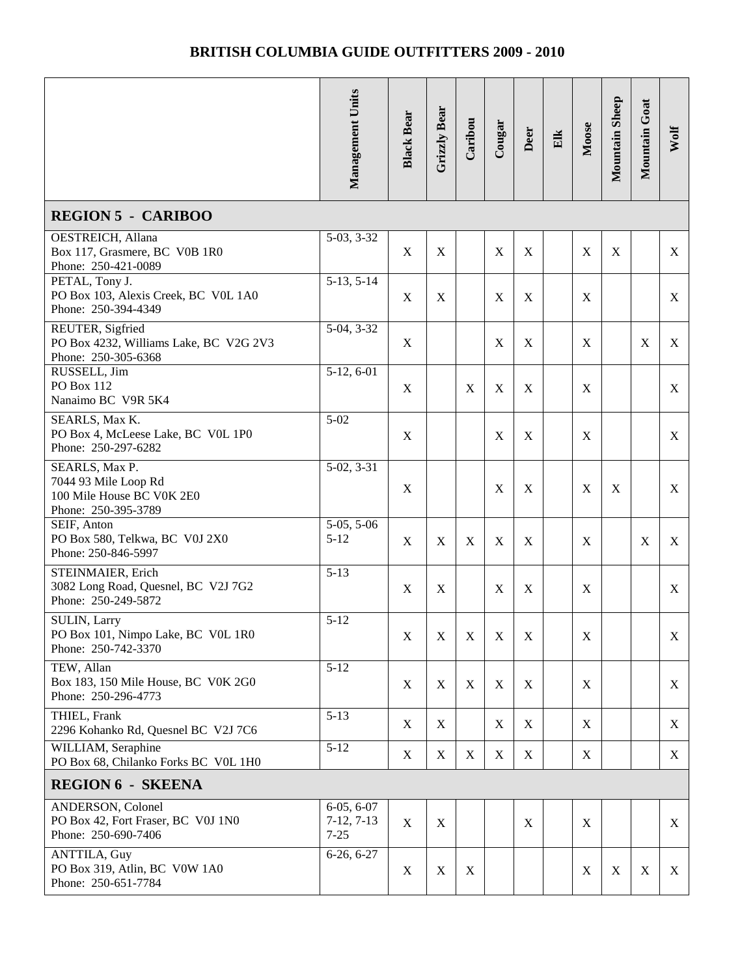|                                                                                            | Management Units                         | <b>Black Bear</b> | Grizzly Bear | Caribou     | Cougar           | Deer             | $E$ lk | Moose       | Mountain Sheep | Mountain Goat | Wolf |
|--------------------------------------------------------------------------------------------|------------------------------------------|-------------------|--------------|-------------|------------------|------------------|--------|-------------|----------------|---------------|------|
|                                                                                            |                                          |                   |              |             |                  |                  |        |             |                |               |      |
| <b>REGION 5 - CARIBOO</b>                                                                  |                                          |                   |              |             |                  |                  |        |             |                |               |      |
| OESTREICH, Allana<br>Box 117, Grasmere, BC V0B 1R0<br>Phone: 250-421-0089                  | $5-03, 3-32$                             | $\mathbf X$       | $\mathbf X$  |             | X                | $\mathbf X$      |        | X           | X              |               | X    |
| PETAL, Tony J.<br>PO Box 103, Alexis Creek, BC VOL 1A0<br>Phone: 250-394-4349              | $5-13, 5-14$                             | X                 | X            |             | X                | $\mathbf X$      |        | X           |                |               | X    |
| REUTER, Sigfried<br>PO Box 4232, Williams Lake, BC V2G 2V3<br>Phone: 250-305-6368          | 5-04, 3-32                               | X                 |              |             | X                | $\mathbf X$      |        | X           |                | X             | X    |
| RUSSELL, Jim<br>PO Box 112<br>Nanaimo BC V9R 5K4                                           | $5-12, 6-01$                             | X                 |              | $\mathbf X$ | $\mathbf X$      | X                |        | X           |                |               | X    |
| SEARLS, Max K.<br>PO Box 4, McLeese Lake, BC VOL 1P0<br>Phone: 250-297-6282                | $5 - 02$                                 | $\mathbf X$       |              |             | X                | $\mathbf X$      |        | X           |                |               | X    |
| SEARLS, Max P.<br>7044 93 Mile Loop Rd<br>100 Mile House BC V0K 2E0<br>Phone: 250-395-3789 | $5-02, 3-31$                             | $\mathbf X$       |              |             | X                | $\mathbf X$      |        | X           | X              |               | X    |
| SEIF, Anton<br>PO Box 580, Telkwa, BC V0J 2X0<br>Phone: 250-846-5997                       | $5-05, 5-06$<br>$5 - 12$                 | $\mathbf X$       | X            | X           | $\mathbf X$      | $\boldsymbol{X}$ |        | X           |                | $\mathbf X$   | X    |
| STEINMAIER, Erich<br>3082 Long Road, Quesnel, BC V2J 7G2<br>Phone: 250-249-5872            | $5 - 13$                                 | $\mathbf X$       | $\mathbf X$  |             | X                | $\boldsymbol{X}$ |        | X           |                |               | X    |
| SULIN, Larry<br>PO Box 101, Nimpo Lake, BC V0L 1R0<br>Phone: 250-742-3370                  | $5 - 12$                                 | X                 | $\mathbf X$  | $\mathbf X$ | $\boldsymbol{X}$ | $\mathbf X$      |        | $\mathbf X$ |                |               | X    |
| TEW, Allan<br>Box 183, 150 Mile House, BC V0K 2G0<br>Phone: 250-296-4773                   | $5 - 12$                                 | X                 | X            | $\mathbf X$ | $\mathbf X$      | X                |        | X           |                |               | X    |
| THIEL, Frank<br>2296 Kohanko Rd, Quesnel BC V2J 7C6                                        | $5-13$                                   | X                 | X            |             | $\mathbf X$      | $\mathbf X$      |        | X           |                |               | X    |
| WILLIAM, Seraphine<br>PO Box 68, Chilanko Forks BC VOL 1H0                                 | $5-12$                                   | X                 | $\mathbf X$  | X           | X                | $\mathbf X$      |        | X           |                |               | X    |
| <b>REGION 6 - SKEENA</b>                                                                   |                                          |                   |              |             |                  |                  |        |             |                |               |      |
| ANDERSON, Colonel<br>PO Box 42, Fort Fraser, BC V0J 1N0<br>Phone: 250-690-7406             | $6-05, 6-07$<br>$7-12, 7-13$<br>$7 - 25$ | X                 | X            |             |                  | X                |        | X           |                |               | X    |
| ANTTILA, Guy<br>PO Box 319, Atlin, BC V0W 1A0<br>Phone: 250-651-7784                       | $6-26, 6-27$                             | X                 | X            | X           |                  |                  |        | X           | X              | $\mathbf X$   | X    |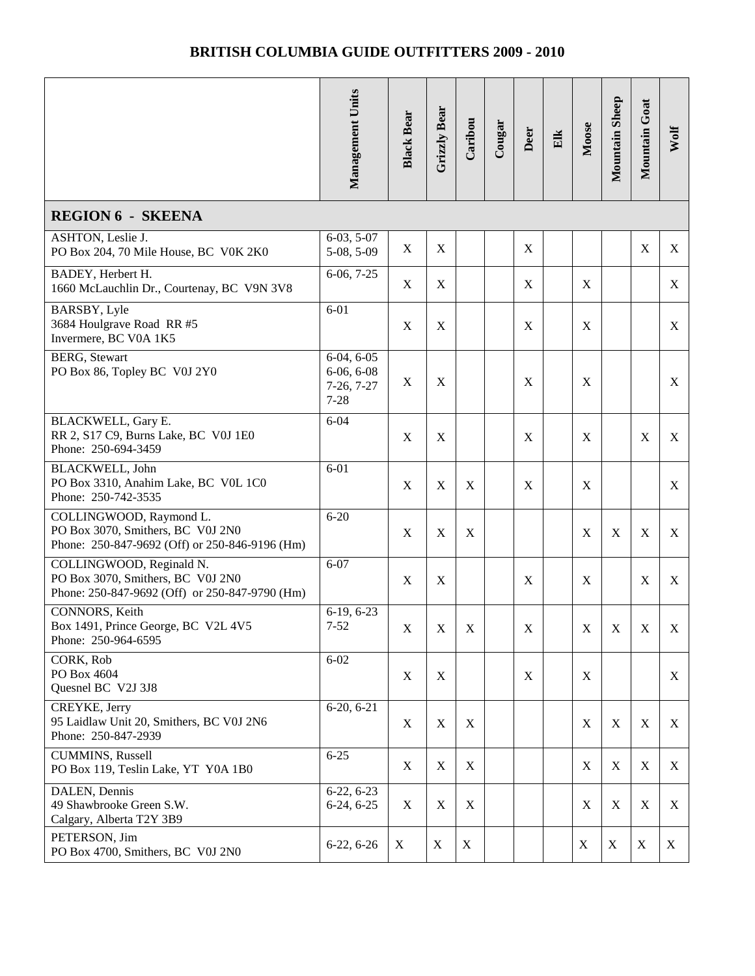|                                                                                                                 | Management Units                                         | <b>Black Bear</b> | Grizzly Bear | Caribou     | Cougar | Deer        | Elk | Moose       | Mountain Sheep | Mountain Goat | Wolf |
|-----------------------------------------------------------------------------------------------------------------|----------------------------------------------------------|-------------------|--------------|-------------|--------|-------------|-----|-------------|----------------|---------------|------|
| <b>REGION 6 - SKEENA</b>                                                                                        |                                                          |                   |              |             |        |             |     |             |                |               |      |
| ASHTON, Leslie J.<br>PO Box 204, 70 Mile House, BC V0K 2K0                                                      | $6-03, 5-07$<br>5-08, 5-09                               | X                 | X            |             |        | X           |     |             |                | $\mathbf X$   | X    |
| BADEY, Herbert H.<br>1660 McLauchlin Dr., Courtenay, BC V9N 3V8                                                 | $6-06, 7-25$                                             | X                 | X            |             |        | X           |     | X           |                |               | X    |
| BARSBY, Lyle<br>3684 Houlgrave Road RR #5<br>Invermere, BC V0A 1K5                                              | $6 - 01$                                                 | X                 | X            |             |        | X           |     | X           |                |               | X    |
| <b>BERG</b> , Stewart<br>PO Box 86, Topley BC V0J 2Y0                                                           | $6-04, 6-05$<br>$6-06, 6-08$<br>$7-26, 7-27$<br>$7 - 28$ | X                 | X            |             |        | X           |     | X           |                |               | X    |
| BLACKWELL, Gary E.<br>RR 2, S17 C9, Burns Lake, BC V0J 1E0<br>Phone: 250-694-3459                               | $6 - 04$                                                 | $\mathbf X$       | $\mathbf X$  |             |        | X           |     | X           |                | $\mathbf X$   | X    |
| BLACKWELL, John<br>PO Box 3310, Anahim Lake, BC V0L 1C0<br>Phone: 250-742-3535                                  | $6 - 01$                                                 | X                 | X            | X           |        | X           |     | X           |                |               | X    |
| COLLINGWOOD, Raymond L.<br>PO Box 3070, Smithers, BC V0J 2N0<br>Phone: 250-847-9692 (Off) or 250-846-9196 (Hm)  | $6 - 20$                                                 | X                 | $\mathbf X$  | $\mathbf X$ |        |             |     | X           | $\mathbf X$    | $\mathbf X$   | X    |
| COLLINGWOOD, Reginald N.<br>PO Box 3070, Smithers, BC V0J 2N0<br>Phone: 250-847-9692 (Off) or 250-847-9790 (Hm) | $6 - 07$                                                 | $\mathbf X$       | X            |             |        | X           |     | X           |                | $\mathbf X$   | X    |
| CONNORS, Keith<br>Box 1491, Prince George, BC V2L 4V5<br>Phone: 250-964-6595                                    | $6-19, 6-23$<br>$7 - 52$                                 | X                 | X            | X           |        | X           |     | X           | X              | X             | X    |
| CORK, Rob<br>PO Box 4604<br>Quesnel BC V2J 3J8                                                                  | $6 - 02$                                                 | X                 | X            |             |        | $\mathbf X$ |     | X           |                |               | X    |
| CREYKE, Jerry<br>95 Laidlaw Unit 20, Smithers, BC V0J 2N6<br>Phone: 250-847-2939                                | $6-20, 6-21$                                             | X                 | X            | X           |        |             |     | $\mathbf X$ | $\mathbf X$    | X             | X    |
| <b>CUMMINS</b> , Russell<br>PO Box 119, Teslin Lake, YT Y0A 1B0                                                 | $6 - 25$                                                 | $\mathbf X$       | X            | X           |        |             |     | X           | X              | $\mathbf X$   | X    |
| DALEN, Dennis<br>49 Shawbrooke Green S.W.<br>Calgary, Alberta T2Y 3B9                                           | $6-22, 6-23$<br>$6-24, 6-25$                             | X                 | X            | X           |        |             |     | $\mathbf X$ | $\mathbf X$    | $\mathbf X$   | X    |
| PETERSON, Jim<br>PO Box 4700, Smithers, BC V0J 2N0                                                              | $6-22, 6-26$                                             | X                 | X            | X           |        |             |     | X           | X              | X             | X    |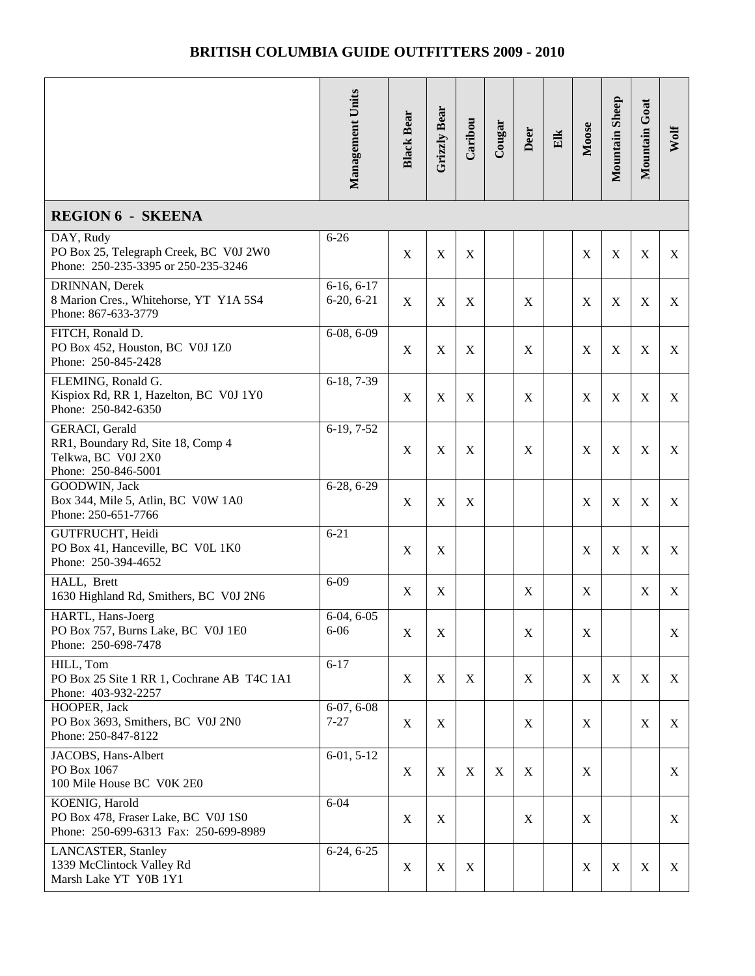|                                                                                                  | Management Units             | <b>Black Bear</b> | <b>Grizzly Bear</b> | Caribou     | Cougar      | Deer        | Elk | Moose | Mountain Sheep | Mountain Goat | Wolf |
|--------------------------------------------------------------------------------------------------|------------------------------|-------------------|---------------------|-------------|-------------|-------------|-----|-------|----------------|---------------|------|
| <b>REGION 6 - SKEENA</b>                                                                         |                              |                   |                     |             |             |             |     |       |                |               |      |
| DAY, Rudy<br>PO Box 25, Telegraph Creek, BC V0J 2W0<br>Phone: 250-235-3395 or 250-235-3246       | $6 - 26$                     | X                 | X                   | X           |             |             |     | X     | X              | X             | X    |
| DRINNAN, Derek<br>8 Marion Cres., Whitehorse, YT Y1A 5S4<br>Phone: 867-633-3779                  | $6-16, 6-17$<br>$6-20, 6-21$ | $\mathbf X$       | X                   | X           |             | X           |     | X     | $\mathbf X$    | $\mathbf X$   | X    |
| FITCH, Ronald D.<br>PO Box 452, Houston, BC V0J 1Z0<br>Phone: 250-845-2428                       | $6-08, 6-09$                 | X                 | X                   | X           |             | $\mathbf X$ |     | X     | $\mathbf X$    | $\mathbf X$   | X    |
| FLEMING, Ronald G.<br>Kispiox Rd, RR 1, Hazelton, BC V0J 1Y0<br>Phone: 250-842-6350              | 6-18, 7-39                   | X                 | X                   | X           |             | X           |     | X     | X              | $\mathbf X$   | X    |
| GERACI, Gerald<br>RR1, Boundary Rd, Site 18, Comp 4<br>Telkwa, BC V0J 2X0<br>Phone: 250-846-5001 | $6-19, 7-52$                 | X                 | $\mathbf X$         | X           |             | X           |     | X     | X              | $\mathbf X$   | X    |
| GOODWIN, Jack<br>Box 344, Mile 5, Atlin, BC V0W 1A0<br>Phone: 250-651-7766                       | $6-28, 6-29$                 | X                 | $\mathbf X$         | $\mathbf X$ |             |             |     | X     | $\mathbf X$    | $\mathbf X$   | X    |
| GUTFRUCHT, Heidi<br>PO Box 41, Hanceville, BC VOL 1K0<br>Phone: 250-394-4652                     | $6 - 21$                     | $\mathbf X$       | X                   |             |             |             |     | X     | $\mathbf X$    | $\mathbf X$   | X    |
| HALL, Brett<br>1630 Highland Rd, Smithers, BC V0J 2N6                                            | $6 - 09$                     | X                 | X                   |             |             | X           |     | X     |                | $\mathbf X$   | X    |
| HARTL, Hans-Joerg<br>PO Box 757, Burns Lake, BC V0J 1E0<br>Phone: 250-698-7478                   | $6-04, 6-05$<br>$6 - 06$     | X                 | $\mathbf X$         |             |             | X           |     | X     |                |               | X    |
| HILL, Tom<br>PO Box 25 Site 1 RR 1, Cochrane AB T4C 1A1<br>Phone: 403-932-2257                   | $6 - 17$                     | X                 | X                   | X           |             | X           |     | X     | X              | X             | X    |
| HOOPER, Jack<br>PO Box 3693, Smithers, BC V0J 2N0<br>Phone: 250-847-8122                         | $6-07, 6-08$<br>$7 - 27$     | X                 | X                   |             |             | X           |     | X     |                | $\mathbf X$   | X    |
| JACOBS, Hans-Albert<br>PO Box 1067<br>100 Mile House BC V0K 2E0                                  | $6-01, 5-12$                 | X                 | X                   | X           | $\mathbf X$ | X           |     | X     |                |               | X    |
| KOENIG, Harold<br>PO Box 478, Fraser Lake, BC V0J 1S0<br>Phone: 250-699-6313 Fax: 250-699-8989   | $6 - 04$                     | X                 | X                   |             |             | X           |     | X     |                |               | X    |
| <b>LANCASTER</b> , Stanley<br>1339 McClintock Valley Rd<br>Marsh Lake YT Y0B 1Y1                 | $6-24, 6-25$                 | X                 | X                   | X           |             |             |     | X     | X              | X             | X    |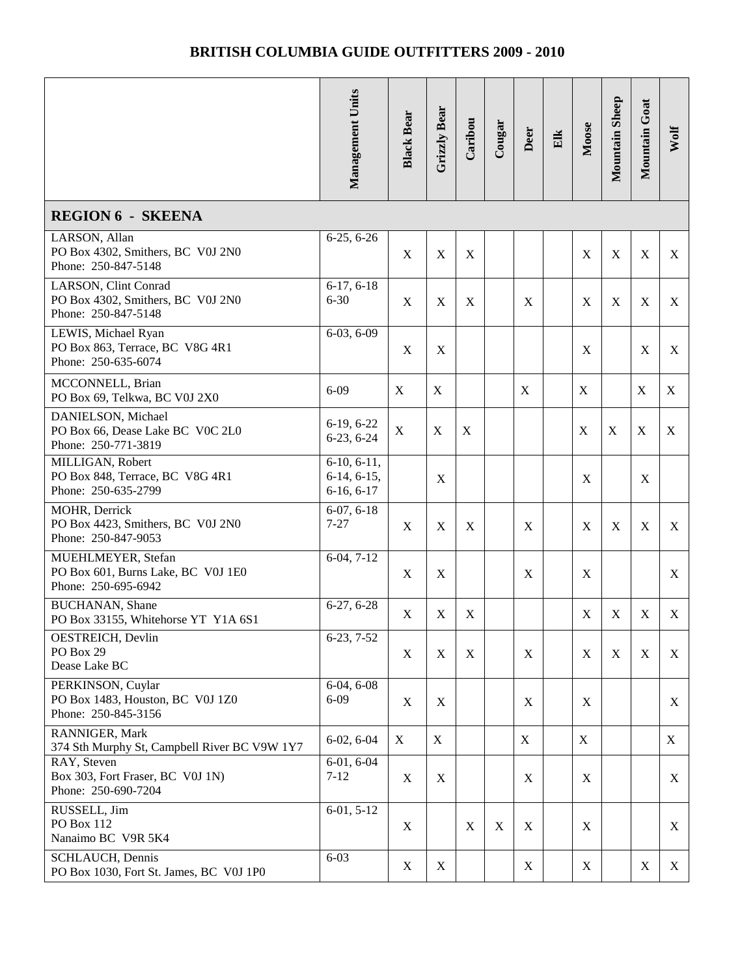|                                                                                  | Management Units                               | <b>Black Bear</b> | Grizzly Bear | Caribou     | Cougar      | Deer             | Elk | Moose       | Mountain Sheep | Mountain Goat | Wolf |
|----------------------------------------------------------------------------------|------------------------------------------------|-------------------|--------------|-------------|-------------|------------------|-----|-------------|----------------|---------------|------|
| <b>REGION 6 - SKEENA</b>                                                         |                                                |                   |              |             |             |                  |     |             |                |               |      |
| LARSON, Allan<br>PO Box 4302, Smithers, BC V0J 2N0<br>Phone: 250-847-5148        | $6-25, 6-26$                                   | $\mathbf X$       | $\mathbf X$  | X           |             |                  |     | X           | $\mathbf X$    | $\mathbf X$   | X    |
| LARSON, Clint Conrad<br>PO Box 4302, Smithers, BC V0J 2N0<br>Phone: 250-847-5148 | $6-17, 6-18$<br>$6 - 30$                       | $\mathbf X$       | $\mathbf X$  | X           |             | $\mathbf X$      |     | X           | $\mathbf X$    | $\mathbf X$   | X    |
| LEWIS, Michael Ryan<br>PO Box 863, Terrace, BC V8G 4R1<br>Phone: 250-635-6074    | $6-03, 6-09$                                   | $\mathbf X$       | X            |             |             |                  |     | X           |                | $\mathbf X$   | X    |
| MCCONNELL, Brian<br>PO Box 69, Telkwa, BC V0J 2X0                                | $6 - 09$                                       | $\mathbf X$       | X            |             |             | $\mathbf X$      |     | X           |                | $\mathbf X$   | X    |
| DANIELSON, Michael<br>PO Box 66, Dease Lake BC V0C 2L0<br>Phone: 250-771-3819    | $6-19, 6-22$<br>$6-23, 6-24$                   | $\mathbf X$       | X            | $\mathbf X$ |             |                  |     | $\mathbf X$ | $\mathbf X$    | $\mathbf X$   | X    |
| MILLIGAN, Robert<br>PO Box 848, Terrace, BC V8G 4R1<br>Phone: 250-635-2799       | $6-10, 6-11,$<br>$6-14, 6-15,$<br>$6-16, 6-17$ |                   | $\mathbf X$  |             |             |                  |     | X           |                | $\mathbf X$   |      |
| MOHR, Derrick<br>PO Box 4423, Smithers, BC V0J 2N0<br>Phone: 250-847-9053        | $6-07, 6-18$<br>$7 - 27$                       | X                 | X            | X           |             | X                |     | X           | $\mathbf X$    | X             | X    |
| MUEHLMEYER, Stefan<br>PO Box 601, Burns Lake, BC V0J 1E0<br>Phone: 250-695-6942  | $6-04, 7-12$                                   | $\mathbf X$       | $\mathbf X$  |             |             | $\boldsymbol{X}$ |     | X           |                |               | X    |
| <b>BUCHANAN</b> , Shane<br>PO Box 33155, Whitehorse YT Y1A 6S1                   | $6-27, 6-28$                                   | $\mathbf X$       | $\mathbf X$  | X           |             |                  |     | $\mathbf X$ | $\mathbf X$    | $\mathbf X$   | X    |
| OESTREICH, Devlin<br>PO Box 29<br>Dease Lake BC                                  | $6-23, 7-52$                                   | $\mathbf X$       | X            | $\mathbf X$ |             | X                |     | X           | $\mathbf X$    | $\mathbf X$   | X    |
| PERKINSON, Cuylar<br>PO Box 1483, Houston, BC V0J 1Z0<br>Phone: 250-845-3156     | $6-04, 6-08$<br>$6 - 09$                       | X                 | X            |             |             | X                |     | X           |                |               | X    |
| RANNIGER, Mark<br>374 Sth Murphy St, Campbell River BC V9W 1Y7                   | $6-02, 6-04$                                   | X                 | X            |             |             | $\mathbf X$      |     | X           |                |               | X    |
| RAY, Steven<br>Box 303, Fort Fraser, BC V0J 1N)<br>Phone: 250-690-7204           | $6-01, 6-04$<br>$7 - 12$                       | X                 | X            |             |             | X                |     | X           |                |               | X    |
| RUSSELL, Jim<br>PO Box 112<br>Nanaimo BC V9R 5K4                                 | $6-01, 5-12$                                   | X                 |              | $\mathbf X$ | $\mathbf X$ | X                |     | X           |                |               | X    |
| SCHLAUCH, Dennis<br>PO Box 1030, Fort St. James, BC V0J 1P0                      | $6 - 03$                                       | X                 | X            |             |             | X                |     | X           |                | X             | X    |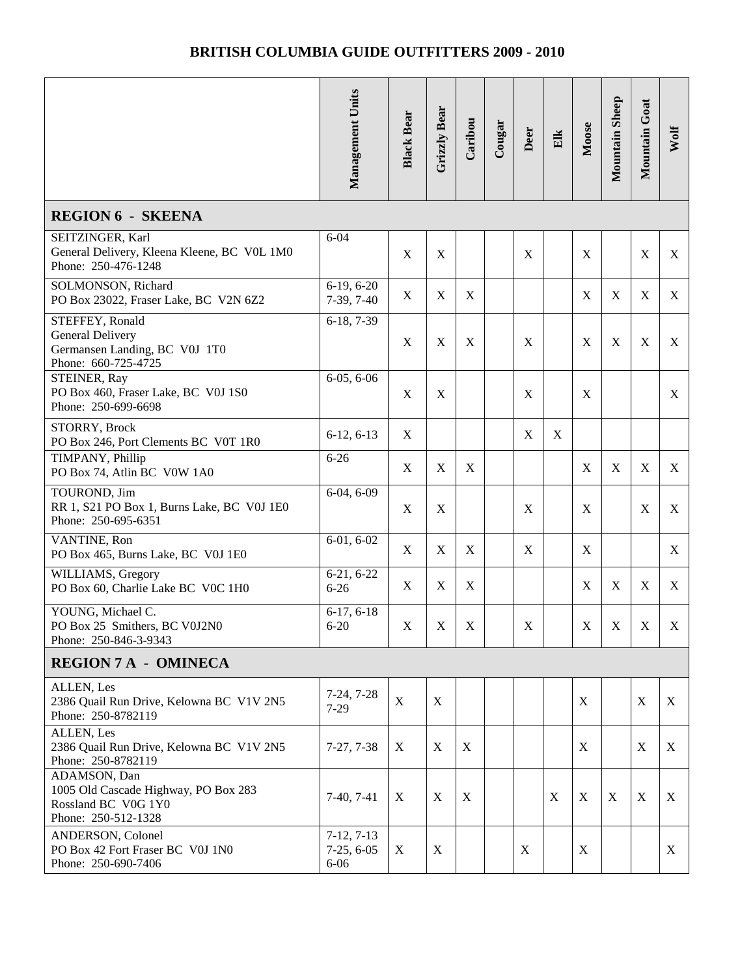|                                                                                                    | Management Units                         | <b>Black Bear</b> | Grizzly Bear | Caribou     | Cougar | Deer        | $E$ lk      | Moose       | Mountain Sheep | Mountain Goat             | Wolf |  |
|----------------------------------------------------------------------------------------------------|------------------------------------------|-------------------|--------------|-------------|--------|-------------|-------------|-------------|----------------|---------------------------|------|--|
| <b>REGION 6 - SKEENA</b>                                                                           |                                          |                   |              |             |        |             |             |             |                |                           |      |  |
| SEITZINGER, Karl<br>General Delivery, Kleena Kleene, BC VOL 1M0<br>Phone: 250-476-1248             | $6 - 04$                                 | $\mathbf X$       | X            |             |        | X           |             | X           |                | $\mathbf X$               | X    |  |
| SOLMONSON, Richard<br>PO Box 23022, Fraser Lake, BC V2N 6Z2                                        | $6-19, 6-20$<br>$7-39, 7-40$             | $\mathbf X$       | X            | X           |        |             |             | X           | X              | $\mathbf X$               | X    |  |
| STEFFEY, Ronald<br>General Delivery<br>Germansen Landing, BC V0J 1T0<br>Phone: 660-725-4725        | 6-18, 7-39                               | X                 | X            | X           |        | X           |             | X           | X              | X                         | X    |  |
| STEINER, Ray<br>PO Box 460, Fraser Lake, BC V0J 1S0<br>Phone: 250-699-6698                         | $6-05, 6-06$                             | X                 | X            |             |        | X           |             | X           |                |                           | X    |  |
| STORRY, Brock<br>PO Box 246, Port Clements BC V0T 1R0                                              | $6-12, 6-13$                             | X                 |              |             |        | $\mathbf X$ | $\mathbf X$ |             |                |                           |      |  |
| TIMPANY, Phillip<br>PO Box 74, Atlin BC V0W 1A0                                                    | $6 - 26$                                 | $\mathbf X$       | X            | X           |        |             |             | X           | X              | X                         | X    |  |
| TOUROND, Jim<br>RR 1, S21 PO Box 1, Burns Lake, BC V0J 1E0<br>Phone: 250-695-6351                  | $6-04, 6-09$                             | $\mathbf X$       | X            |             |        | X           |             | X           |                | $\boldsymbol{\mathrm{X}}$ | X    |  |
| VANTINE, Ron<br>PO Box 465, Burns Lake, BC V0J 1E0                                                 | $6-01, 6-02$                             | X                 | X            | X           |        | X           |             | X           |                |                           | X    |  |
| WILLIAMS, Gregory<br>PO Box 60, Charlie Lake BC V0C 1H0                                            | $6-21, 6-22$<br>$6 - 26$                 | X                 | X            | X           |        |             |             | X           | X              | $\mathbf X$               | X    |  |
| YOUNG, Michael C.<br>PO Box 25 Smithers, BC V0J2N0<br>Phone: 250-846-3-9343                        | $6-17, 6-18$<br>$6 - 20$                 | $\mathbf X$       | $\mathbf X$  | $\mathbf X$ |        | $\mathbf X$ |             | $\mathbf X$ | $\mathbf X$    | $\mathbf X$               | X    |  |
| <b>REGION 7 A - OMINECA</b>                                                                        |                                          |                   |              |             |        |             |             |             |                |                           |      |  |
| ALLEN, Les<br>2386 Quail Run Drive, Kelowna BC V1V 2N5<br>Phone: 250-8782119                       | $7-24, 7-28$<br>$7-29$                   | $\mathbf X$       | X            |             |        |             |             | X           |                | $\boldsymbol{X}$          | X    |  |
| ALLEN, Les<br>2386 Quail Run Drive, Kelowna BC V1V 2N5<br>Phone: 250-8782119                       | $7-27, 7-38$                             | X                 | X            | X           |        |             |             | $\mathbf X$ |                | X                         | X    |  |
| ADAMSON, Dan<br>1005 Old Cascade Highway, PO Box 283<br>Rossland BC V0G 1Y0<br>Phone: 250-512-1328 | $7-40, 7-41$                             | X                 | X            | X           |        |             | X           | $\mathbf X$ | X              | $\boldsymbol{X}$          | X    |  |
| ANDERSON, Colonel<br>PO Box 42 Fort Fraser BC V0J 1N0<br>Phone: 250-690-7406                       | $7-12, 7-13$<br>$7-25, 6-05$<br>$6 - 06$ | X                 | X            |             |        | X           |             | $\mathbf X$ |                |                           | X    |  |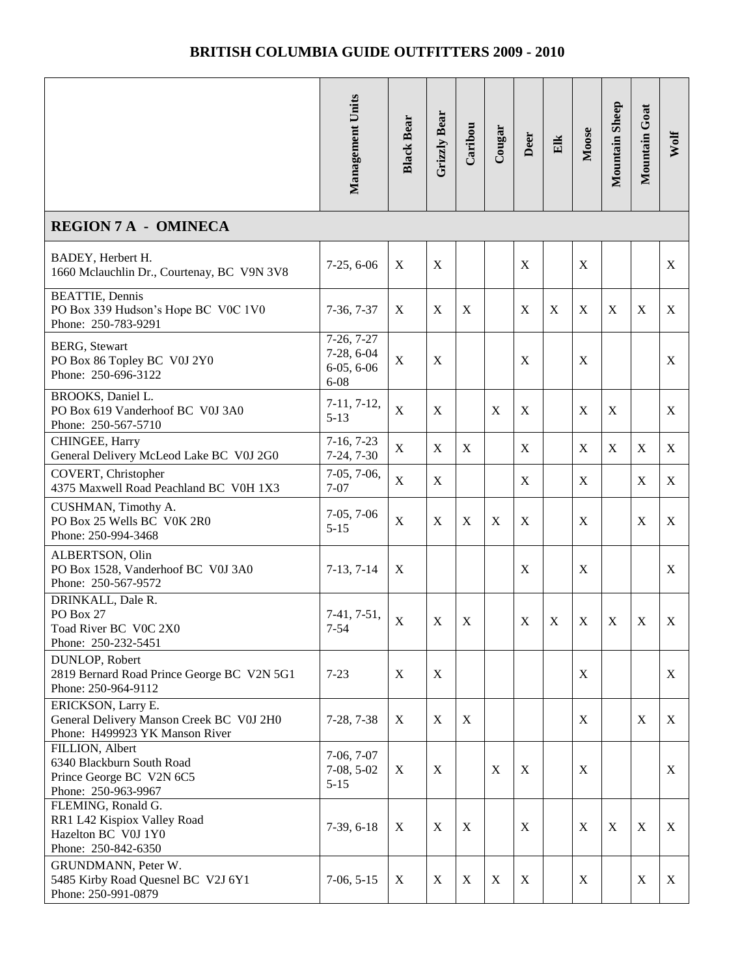|                                                                                                  | Management Units                                       | <b>Black Bear</b> | Grizzly Bear | Caribou     | Cougar                    | Deer        | Elk                       | Moose            | Mountain Sheep | Mountain Goat    | Wolf |  |
|--------------------------------------------------------------------------------------------------|--------------------------------------------------------|-------------------|--------------|-------------|---------------------------|-------------|---------------------------|------------------|----------------|------------------|------|--|
| <b>REGION 7 A - OMINECA</b>                                                                      |                                                        |                   |              |             |                           |             |                           |                  |                |                  |      |  |
| BADEY, Herbert H.<br>1660 Mclauchlin Dr., Courtenay, BC V9N 3V8                                  | $7-25, 6-06$                                           | $\mathbf X$       | $\mathbf X$  |             |                           | $\mathbf X$ |                           | $\mathbf X$      |                |                  | X    |  |
| <b>BEATTIE</b> , Dennis<br>PO Box 339 Hudson's Hope BC V0C 1V0<br>Phone: 250-783-9291            | $7-36, 7-37$                                           | $\mathbf X$       | X            | X           |                           | $\mathbf X$ | $\boldsymbol{\mathrm{X}}$ | $\mathbf X$      | $\mathbf X$    | $\boldsymbol{X}$ | X    |  |
| <b>BERG, Stewart</b><br>PO Box 86 Topley BC V0J 2Y0<br>Phone: 250-696-3122                       | $7-26, 7-27$<br>7-28, 6-04<br>$6-05, 6-06$<br>$6 - 08$ | $\mathbf X$       | $\mathbf X$  |             |                           | $\mathbf X$ |                           | $\mathbf X$      |                |                  | X    |  |
| BROOKS, Daniel L.<br>PO Box 619 Vanderhoof BC V0J 3A0<br>Phone: 250-567-5710                     | $7-11, 7-12,$<br>$5 - 13$                              | $\mathbf X$       | X            |             | $\mathbf X$               | $\mathbf X$ |                           | $\boldsymbol{X}$ | $\mathbf X$    |                  | X    |  |
| CHINGEE, Harry<br>General Delivery McLeod Lake BC V0J 2G0                                        | $7-16, 7-23$<br>7-24, 7-30                             | $\mathbf X$       | $\mathbf X$  | X           |                           | $\mathbf X$ |                           | $\mathbf X$      | $\mathbf X$    | X                | X    |  |
| COVERT, Christopher<br>4375 Maxwell Road Peachland BC V0H 1X3                                    | $7-05, 7-06,$<br>$7 - 07$                              | $\mathbf X$       | X            |             |                           | $\mathbf X$ |                           | X                |                | X                | X    |  |
| CUSHMAN, Timothy A.<br>PO Box 25 Wells BC V0K 2R0<br>Phone: 250-994-3468                         | $7-05, 7-06$<br>$5 - 15$                               | $\mathbf X$       | X            | X           | $\mathbf X$               | X           |                           | $\mathbf X$      |                | X                | X    |  |
| ALBERTSON, Olin<br>PO Box 1528, Vanderhoof BC V0J 3A0<br>Phone: 250-567-9572                     | $7-13, 7-14$                                           | $\mathbf X$       |              |             |                           | X           |                           | $\mathbf X$      |                |                  | X    |  |
| DRINKALL, Dale R.<br>PO Box 27<br>Toad River BC V0C 2X0<br>Phone: 250-232-5451                   | $7-41, 7-51,$<br>$7 - 54$                              | $\mathbf X$       | $\mathbf X$  | $\mathbf X$ |                           | $\mathbf X$ | X                         | $\mathbf X$      | $\mathbf X$    | X                | X    |  |
| DUNLOP, Robert<br>2819 Bernard Road Prince George BC V2N 5G1<br>Phone: 250-964-9112              | $7 - 23$                                               | X                 | X            |             |                           |             |                           | X                |                |                  | X    |  |
| ERICKSON, Larry E.<br>General Delivery Manson Creek BC V0J 2H0<br>Phone: H499923 YK Manson River | $7-28, 7-38$                                           | X                 | X            | X           |                           |             |                           | $\mathbf X$      |                | X                | X    |  |
| FILLION, Albert<br>6340 Blackburn South Road<br>Prince George BC V2N 6C5<br>Phone: 250-963-9967  | $7-06, 7-07$<br>$7-08, 5-02$<br>$5 - 15$               | X                 | X            |             | X                         | $\mathbf X$ |                           | $\mathbf X$      |                |                  | X    |  |
| FLEMING, Ronald G.<br>RR1 L42 Kispiox Valley Road<br>Hazelton BC V0J 1Y0<br>Phone: 250-842-6350  | $7-39, 6-18$                                           | X                 | X            | X           |                           | X           |                           | $\mathbf X$      | $\mathbf X$    | $\boldsymbol{X}$ | X    |  |
| GRUNDMANN, Peter W.<br>5485 Kirby Road Quesnel BC V2J 6Y1<br>Phone: 250-991-0879                 | $7-06, 5-15$                                           | X                 | X            | X           | $\boldsymbol{\mathrm{X}}$ | $\mathbf X$ |                           | X                |                | X                | X    |  |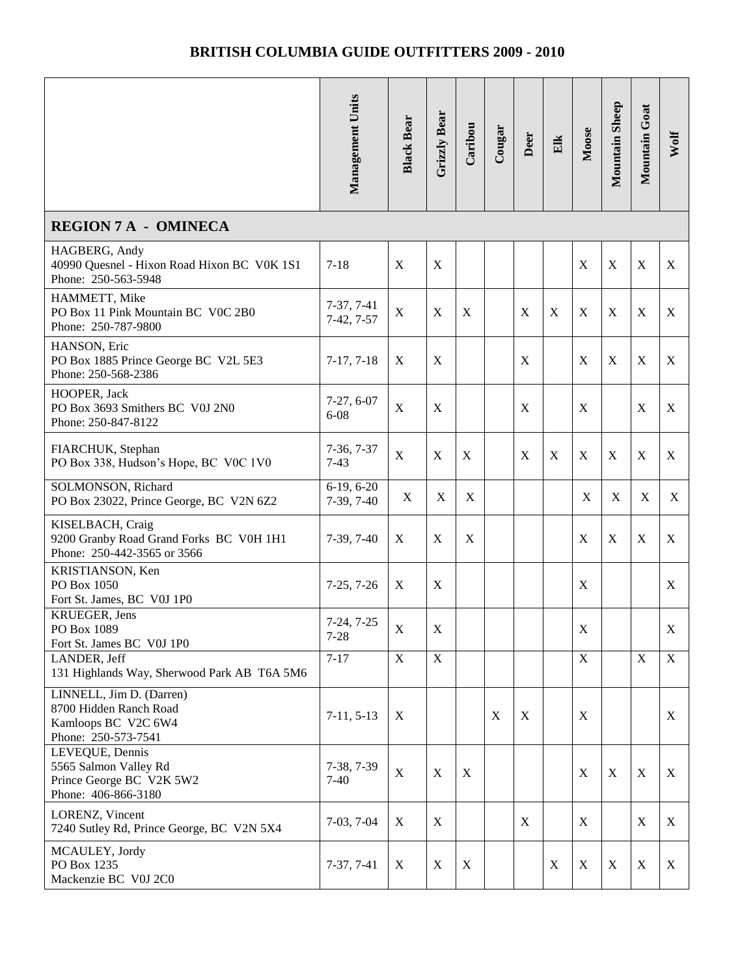|                                                                                                  | Management Units             | <b>Black Bear</b> | Grizzly Bear | Caribou | Cougar                    | Deer             | Elk         | Moose       | Mountain Sheep | Mountain Goat    | Wolf        |
|--------------------------------------------------------------------------------------------------|------------------------------|-------------------|--------------|---------|---------------------------|------------------|-------------|-------------|----------------|------------------|-------------|
| <b>REGION 7 A - OMINECA</b>                                                                      |                              |                   |              |         |                           |                  |             |             |                |                  |             |
| HAGBERG, Andy<br>40990 Quesnel - Hixon Road Hixon BC V0K 1S1<br>Phone: 250-563-5948              | $7 - 18$                     | $\mathbf X$       | $\mathbf X$  |         |                           |                  |             | $\mathbf X$ | $\mathbf X$    | $\mathbf X$      | X           |
| HAMMETT, Mike<br>PO Box 11 Pink Mountain BC V0C 2B0<br>Phone: 250-787-9800                       | $7-37, 7-41$<br>$7-42, 7-57$ | $\mathbf X$       | $\mathbf X$  | X       |                           | $\boldsymbol{X}$ | $\mathbf X$ | $\mathbf X$ | $\mathbf X$    | $\mathbf X$      | X           |
| HANSON, Eric<br>PO Box 1885 Prince George BC V2L 5E3<br>Phone: 250-568-2386                      | $7-17, 7-18$                 | $\mathbf X$       | X            |         |                           | $\mathbf X$      |             | $\mathbf X$ | $\mathbf X$    | $\mathbf X$      | X           |
| HOOPER, Jack<br>PO Box 3693 Smithers BC V0J 2N0<br>Phone: 250-847-8122                           | $7-27, 6-07$<br>$6 - 08$     | $\mathbf X$       | X            |         |                           | $\mathbf X$      |             | X           |                | X                | $\mathbf X$ |
| FIARCHUK, Stephan<br>PO Box 338, Hudson's Hope, BC V0C 1V0                                       | $7-36, 7-37$<br>$7-43$       | $\mathbf X$       | X            | X       |                           | X                | X           | X           | X              | X                | X           |
| SOLMONSON, Richard<br>PO Box 23022, Prince George, BC V2N 6Z2                                    | $6-19, 6-20$<br>7-39, 7-40   | $\mathbf X$       | X            | X       |                           |                  |             | X           | $\mathbf X$    | X                | X           |
| KISELBACH, Craig<br>9200 Granby Road Grand Forks BC V0H 1H1<br>Phone: 250-442-3565 or 3566       | $7-39, 7-40$                 | X                 | X            | X       |                           |                  |             | X           | $\mathbf X$    | $\boldsymbol{X}$ | X           |
| KRISTIANSON, Ken<br>PO Box 1050<br>Fort St. James, BC V0J 1P0                                    | $7-25, 7-26$                 | $\mathbf X$       | $\mathbf X$  |         |                           |                  |             | $\mathbf X$ |                |                  | X           |
| <b>KRUEGER</b> , Jens<br>PO Box 1089<br>Fort St. James BC V0J 1P0                                | $7-24, 7-25$<br>$7 - 28$     | X                 | X            |         |                           |                  |             | X           |                |                  | X           |
| LANDER, Jeff<br>131 Highlands Way, Sherwood Park AB T6A 5M6                                      | $7 - 17$                     | $\mathbf X$       | $\mathbf X$  |         |                           |                  |             | X           |                | $\mathbf X$      | $\mathbf X$ |
| LINNELL, Jim D. (Darren)<br>8700 Hidden Ranch Road<br>Kamloops BC V2C 6W4<br>Phone: 250-573-7541 | $7-11, 5-13$                 | X                 |              |         | $\boldsymbol{\mathrm{X}}$ | $\mathbf X$      |             | X           |                |                  | X           |
| LEVEQUE, Dennis<br>5565 Salmon Valley Rd<br>Prince George BC V2K 5W2<br>Phone: 406-866-3180      | 7-38, 7-39<br>$7-40$         | $\mathbf X$       | X            | X       |                           |                  |             | $\mathbf X$ | X              | $\boldsymbol{X}$ | X           |
| LORENZ, Vincent<br>7240 Sutley Rd, Prince George, BC V2N 5X4                                     | $7-03, 7-04$                 | X                 | X            |         |                           | $\mathbf X$      |             | X           |                | $\mathbf X$      | X           |
| MCAULEY, Jordy<br>PO Box 1235<br>Mackenzie BC V0J 2C0                                            | $7-37, 7-41$                 | X                 | X            | X       |                           |                  | X           | $\mathbf X$ | X              | X                | X           |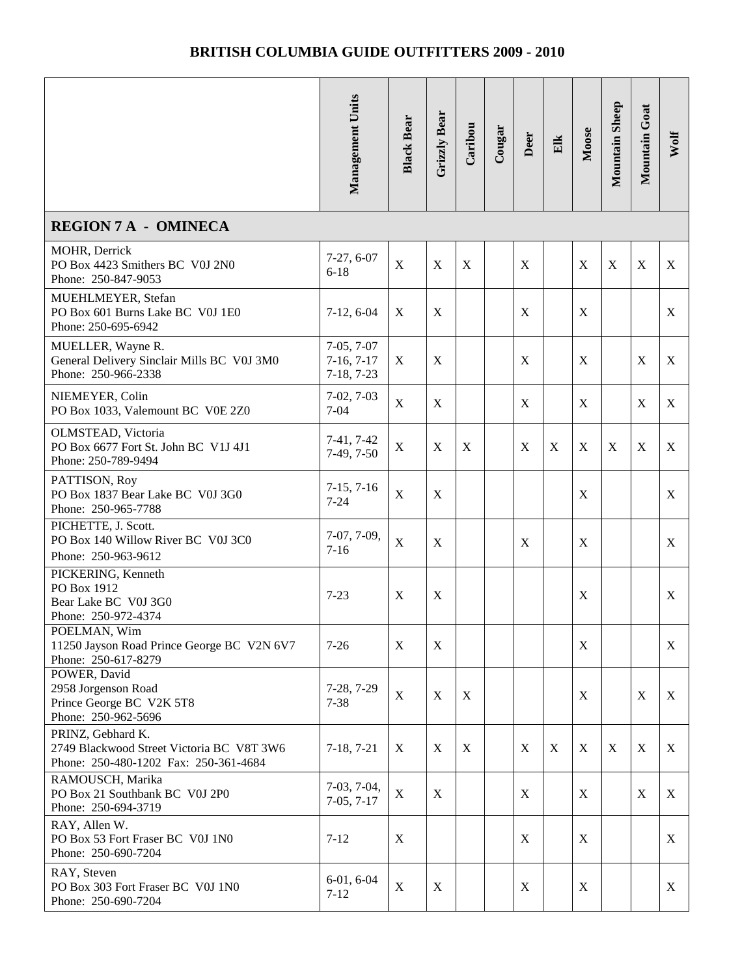|                                                                                                         | Management Units                             | <b>Black Bear</b> | Grizzly Bear | Caribou     | Cougar | Deer        | Elk | Moose       | Mountain Sheep | Mountain Goat    | Wolf |
|---------------------------------------------------------------------------------------------------------|----------------------------------------------|-------------------|--------------|-------------|--------|-------------|-----|-------------|----------------|------------------|------|
| <b>REGION 7 A - OMINECA</b>                                                                             |                                              |                   |              |             |        |             |     |             |                |                  |      |
| MOHR, Derrick<br>PO Box 4423 Smithers BC V0J 2N0<br>Phone: 250-847-9053                                 | $7-27, 6-07$<br>$6 - 18$                     | $\mathbf X$       | $\mathbf X$  | X           |        | X           |     | X           | $\mathbf X$    | $\mathbf X$      | X    |
| MUEHLMEYER, Stefan<br>PO Box 601 Burns Lake BC V0J 1E0<br>Phone: 250-695-6942                           | $7-12, 6-04$                                 | $\mathbf X$       | X            |             |        | X           |     | $\mathbf X$ |                |                  | X    |
| MUELLER, Wayne R.<br>General Delivery Sinclair Mills BC V0J 3M0<br>Phone: 250-966-2338                  | $7-05, 7-07$<br>$7-16, 7-17$<br>$7-18, 7-23$ | $\mathbf X$       | X            |             |        | $\mathbf X$ |     | $\mathbf X$ |                | $\mathbf X$      | X    |
| NIEMEYER, Colin<br>PO Box 1033, Valemount BC V0E 2Z0                                                    | $7-02, 7-03$<br>$7 - 04$                     | $\mathbf X$       | X            |             |        | X           |     | X           |                | $\mathbf X$      | X    |
| OLMSTEAD, Victoria<br>PO Box 6677 Fort St. John BC V1J 4J1<br>Phone: 250-789-9494                       | $7-41, 7-42$<br>$7-49, 7-50$                 | $\mathbf X$       | X            | X           |        | $\mathbf X$ | X   | $\mathbf X$ | $\mathbf X$    | X                | X    |
| PATTISON, Roy<br>PO Box 1837 Bear Lake BC V0J 3G0<br>Phone: 250-965-7788                                | $7-15, 7-16$<br>$7 - 24$                     | $\mathbf X$       | X            |             |        |             |     | $\mathbf X$ |                |                  | X    |
| PICHETTE, J. Scott.<br>PO Box 140 Willow River BC V0J 3C0<br>Phone: 250-963-9612                        | 7-07, 7-09,<br>$7 - 16$                      | $\mathbf X$       | X            |             |        | X           |     | X           |                |                  | X    |
| PICKERING, Kenneth<br>PO Box 1912<br>Bear Lake BC V0J 3G0<br>Phone: 250-972-4374                        | $7 - 23$                                     | $\mathbf X$       | X            |             |        |             |     | $\mathbf X$ |                |                  | X    |
| POELMAN, Wim<br>11250 Jayson Road Prince George BC V2N 6V7<br>Phone: 250-617-8279                       | $7-26$                                       | X                 | X            |             |        |             |     | X           |                |                  | X    |
| POWER, David<br>2958 Jorgenson Road<br>Prince George BC V2K 5T8<br>Phone: 250-962-5696                  | 7-28, 7-29<br>$7 - 38$                       | $\mathbf X$       | X            | X           |        |             |     | X           |                | X                | X    |
| PRINZ, Gebhard K.<br>2749 Blackwood Street Victoria BC V8T 3W6<br>Phone: 250-480-1202 Fax: 250-361-4684 | $7-18, 7-21$                                 | X                 | X            | $\mathbf X$ |        | $\mathbf X$ | X   | X           | X              | $\boldsymbol{X}$ | X    |
| RAMOUSCH, Marika<br>PO Box 21 Southbank BC V0J 2P0<br>Phone: 250-694-3719                               | $7-03, 7-04,$<br>$7-05, 7-17$                | $\mathbf X$       | X            |             |        | X           |     | X           |                | $\boldsymbol{X}$ | X    |
| RAY, Allen W.<br>PO Box 53 Fort Fraser BC V0J 1N0<br>Phone: 250-690-7204                                | $7 - 12$                                     | $\mathbf X$       |              |             |        | $\mathbf X$ |     | $\mathbf X$ |                |                  | X    |
| RAY, Steven<br>PO Box 303 Fort Fraser BC V0J 1N0<br>Phone: 250-690-7204                                 | $6-01, 6-04$<br>$7 - 12$                     | $\mathbf X$       | X            |             |        | X           |     | $\mathbf X$ |                |                  | X    |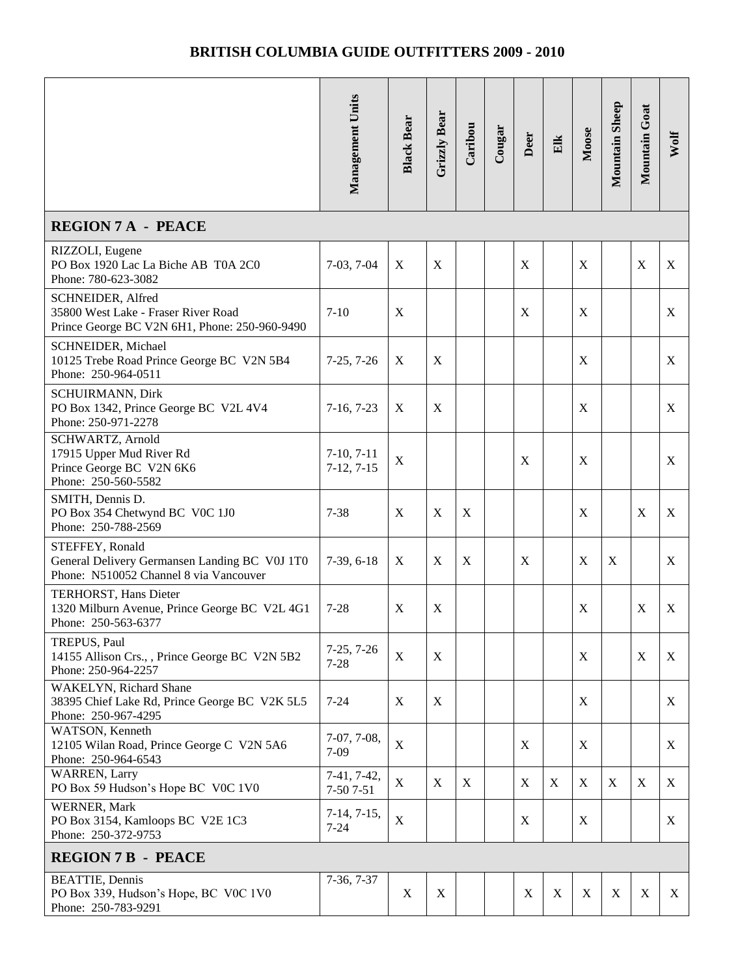|                                                                                                            | Management Units             | <b>Black Bear</b> | <b>Grizzly Bear</b> | Caribou | Cougar | Deer             | Elk         | Moose       | Mountain Sheep | Mountain Goat | Wolf |
|------------------------------------------------------------------------------------------------------------|------------------------------|-------------------|---------------------|---------|--------|------------------|-------------|-------------|----------------|---------------|------|
| <b>REGION 7 A - PEACE</b>                                                                                  |                              |                   |                     |         |        |                  |             |             |                |               |      |
| RIZZOLI, Eugene<br>PO Box 1920 Lac La Biche AB T0A 2C0<br>Phone: 780-623-3082                              | $7-03, 7-04$                 | $\mathbf X$       | $\mathbf X$         |         |        | $\boldsymbol{X}$ |             | X           |                | X             | X    |
| SCHNEIDER, Alfred<br>35800 West Lake - Fraser River Road<br>Prince George BC V2N 6H1, Phone: 250-960-9490  | $7 - 10$                     | X                 |                     |         |        | X                |             | X           |                |               | X    |
| SCHNEIDER, Michael<br>10125 Trebe Road Prince George BC V2N 5B4<br>Phone: 250-964-0511                     | $7-25, 7-26$                 | $\mathbf X$       | X                   |         |        |                  |             | X           |                |               | X    |
| SCHUIRMANN, Dirk<br>PO Box 1342, Prince George BC V2L 4V4<br>Phone: 250-971-2278                           | $7-16, 7-23$                 | $\mathbf X$       | X                   |         |        |                  |             | X           |                |               | X    |
| SCHWARTZ, Arnold<br>17915 Upper Mud River Rd<br>Prince George BC V2N 6K6<br>Phone: 250-560-5582            | $7-10, 7-11$<br>$7-12, 7-15$ | X                 |                     |         |        | X                |             | X           |                |               | X    |
| SMITH, Dennis D.<br>PO Box 354 Chetwynd BC V0C 1J0<br>Phone: 250-788-2569                                  | $7 - 38$                     | $\mathbf X$       | X                   | X       |        |                  |             | X           |                | X             | X    |
| STEFFEY, Ronald<br>General Delivery Germansen Landing BC V0J 1T0<br>Phone: N510052 Channel 8 via Vancouver | $7-39, 6-18$                 | X                 | X                   | X       |        | X                |             | X           | $\mathbf X$    |               | X    |
| TERHORST, Hans Dieter<br>1320 Milburn Avenue, Prince George BC V2L 4G1<br>Phone: 250-563-6377              | $7 - 28$                     | X                 | X                   |         |        |                  |             | X           |                | X             | X    |
| TREPUS, Paul<br>14155 Allison Crs., Prince George BC V2N 5B2<br>Phone: 250-964-2257                        | $7-25, 7-26$<br>$7 - 28$     | X                 | X                   |         |        |                  |             | X           |                | X             | X    |
| <b>WAKELYN, Richard Shane</b><br>38395 Chief Lake Rd, Prince George BC V2K 5L5<br>Phone: 250-967-4295      | $7 - 24$                     | $\mathbf X$       | X                   |         |        |                  |             | X           |                |               | X    |
| WATSON, Kenneth<br>12105 Wilan Road, Prince George C V2N 5A6<br>Phone: 250-964-6543                        | 7-07, 7-08,<br>$7-09$        | $\mathbf X$       |                     |         |        | X                |             | X           |                |               | X    |
| <b>WARREN, Larry</b><br>PO Box 59 Hudson's Hope BC V0C 1V0                                                 | 7-41, 7-42,<br>7-50 7-51     | $\mathbf X$       | X                   | X       |        | $\mathbf X$      | X           | $\mathbf X$ | X              | X             | X    |
| WERNER, Mark<br>PO Box 3154, Kamloops BC V2E 1C3<br>Phone: 250-372-9753                                    | $7-14, 7-15,$<br>$7 - 24$    | $\mathbf X$       |                     |         |        | $\mathbf X$      |             | $\mathbf X$ |                |               | X    |
| <b>REGION 7 B - PEACE</b>                                                                                  |                              |                   |                     |         |        |                  |             |             |                |               |      |
| <b>BEATTIE, Dennis</b><br>PO Box 339, Hudson's Hope, BC V0C 1V0<br>Phone: 250-783-9291                     | $7-36, 7-37$                 | X                 | X                   |         |        | X                | $\mathbf X$ | X           | X              | X             | X    |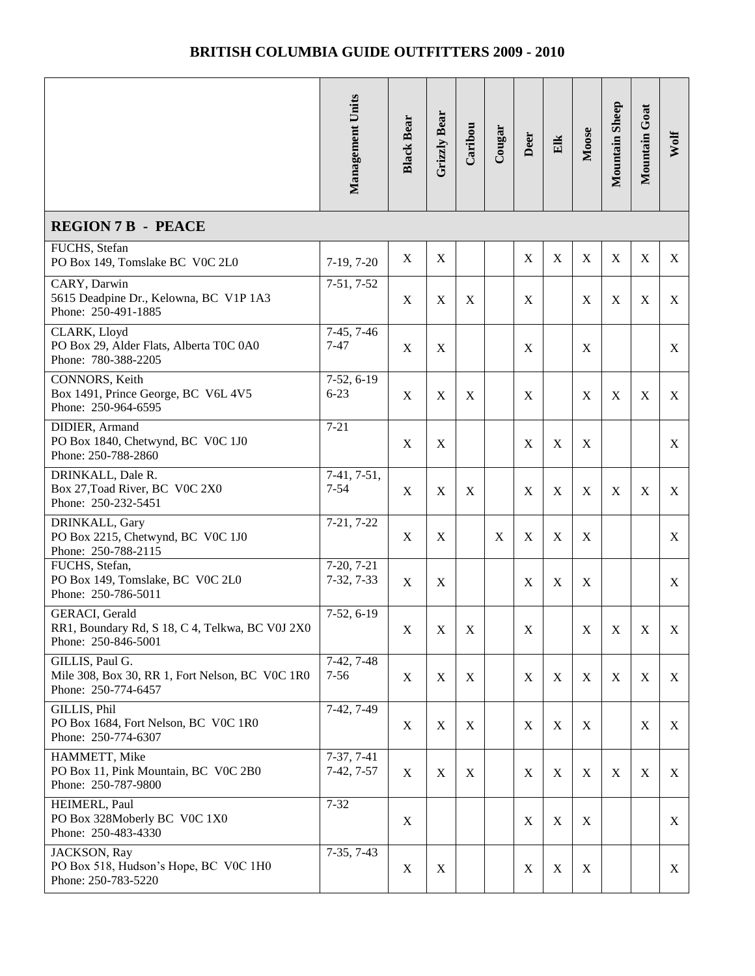|                                                                                           | <b>Management Units</b>      | <b>Black Bear</b> | Grizzly Bear     | Caribou     | Cougar | Deer             | Elk         | Moose       | Mountain Sheep | Mountain Goat             | Wolf |
|-------------------------------------------------------------------------------------------|------------------------------|-------------------|------------------|-------------|--------|------------------|-------------|-------------|----------------|---------------------------|------|
| <b>REGION 7 B - PEACE</b>                                                                 |                              |                   |                  |             |        |                  |             |             |                |                           |      |
| FUCHS, Stefan<br>PO Box 149, Tomslake BC V0C 2L0                                          | $7-19, 7-20$                 | X                 | X                |             |        | $\mathbf X$      | X           | $\mathbf X$ | X              | $\mathbf X$               | X    |
| CARY, Darwin<br>5615 Deadpine Dr., Kelowna, BC V1P 1A3<br>Phone: 250-491-1885             | $7-51, 7-52$                 | $\mathbf X$       | $\mathbf X$      | $\mathbf X$ |        | $\mathbf X$      |             | $\mathbf X$ | X              | $\mathbf X$               | X    |
| CLARK, Lloyd<br>PO Box 29, Alder Flats, Alberta T0C 0A0<br>Phone: 780-388-2205            | $7-45, 7-46$<br>$7 - 47$     | $\mathbf X$       | $\mathbf X$      |             |        | X                |             | X           |                |                           | X    |
| CONNORS, Keith<br>Box 1491, Prince George, BC V6L 4V5<br>Phone: 250-964-6595              | $7-52, 6-19$<br>$6 - 23$     | X                 | $\boldsymbol{X}$ | X           |        | $\boldsymbol{X}$ |             | X           | X              | $\boldsymbol{\mathrm{X}}$ | X    |
| DIDIER, Armand<br>PO Box 1840, Chetwynd, BC V0C 1J0<br>Phone: 250-788-2860                | $7 - 21$                     | $\mathbf X$       | $\mathbf X$      |             |        | X                | X           | X           |                |                           | X    |
| DRINKALL, Dale R.<br>Box 27, Toad River, BC V0C 2X0<br>Phone: 250-232-5451                | $7-41, 7-51,$<br>$7 - 54$    | X                 | $\boldsymbol{X}$ | X           |        | X                | $\mathbf X$ | X           | X              | $\mathbf X$               | X    |
| DRINKALL, Gary<br>PO Box 2215, Chetwynd, BC VOC 1J0<br>Phone: 250-788-2115                | $7-21, 7-22$                 | X                 | X                |             | X      | $\mathbf X$      | $\mathbf X$ | X           |                |                           | X    |
| FUCHS, Stefan,<br>PO Box 149, Tomslake, BC V0C 2L0<br>Phone: 250-786-5011                 | $7-20, 7-21$<br>$7-32, 7-33$ | $\mathbf X$       | $\mathbf X$      |             |        | $\boldsymbol{X}$ | X           | X           |                |                           | X    |
| GERACI, Gerald<br>RR1, Boundary Rd, S 18, C 4, Telkwa, BC V0J 2X0<br>Phone: 250-846-5001  | $7-52, 6-19$                 | X                 | X                | X           |        | X                |             | X           | X              | X                         | X    |
| GILLIS, Paul G.<br>Mile 308, Box 30, RR 1, Fort Nelson, BC VOC 1R0<br>Phone: 250-774-6457 | 7-42, 7-48<br>$7 - 56$       | X                 | X                | X           |        | X                | X           | X           | $\mathbf X$    | $\mathbf X$               | X    |
| GILLIS, Phil<br>PO Box 1684, Fort Nelson, BC V0C 1R0<br>Phone: 250-774-6307               | 7-42, 7-49                   | X                 | X                | X           |        | X                | X           | X           |                | X                         | X    |
| HAMMETT, Mike<br>PO Box 11, Pink Mountain, BC V0C 2B0<br>Phone: 250-787-9800              | $7-37, 7-41$<br>$7-42, 7-57$ | X                 | X                | X           |        | X                | X           | X           | X              | X                         | X    |
| HEIMERL, Paul<br>PO Box 328Moberly BC V0C 1X0<br>Phone: 250-483-4330                      | $7 - 32$                     | X                 |                  |             |        | $\boldsymbol{X}$ | $\mathbf X$ | X           |                |                           | X    |
| JACKSON, Ray<br>PO Box 518, Hudson's Hope, BC V0C 1H0<br>Phone: 250-783-5220              | $7-35, 7-43$                 | X                 | X                |             |        | X                | $\mathbf X$ | X           |                |                           | X    |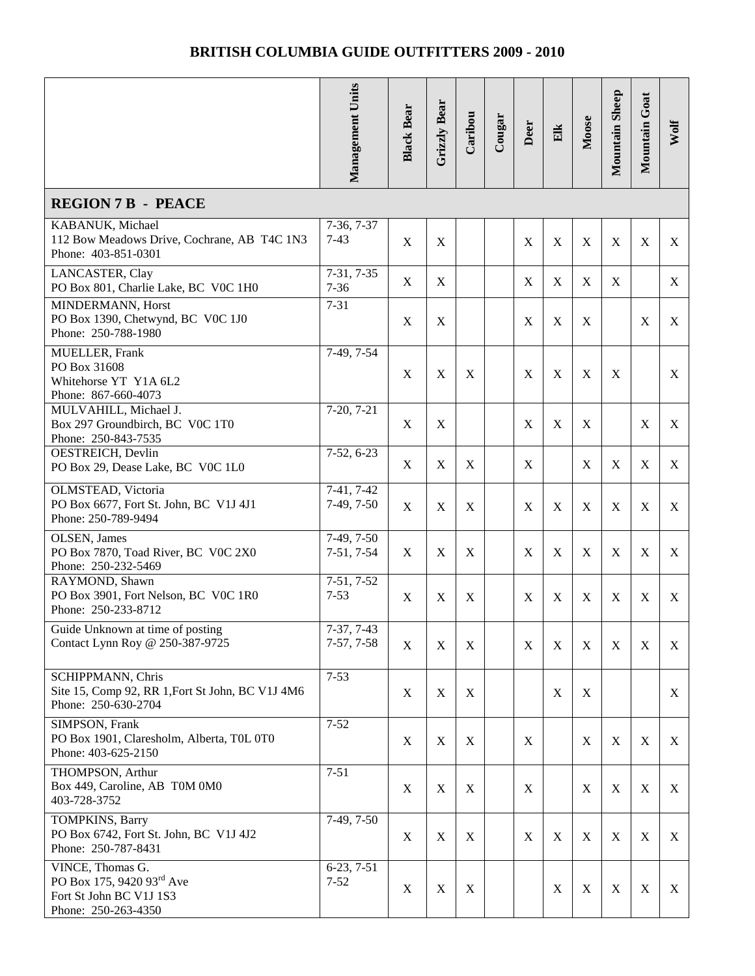|                                                                                                      | Management Units             | <b>Black Bear</b> | <b>Grizzly Bear</b> | Caribou | Cougar | Deer             | Elk         | Moose       | Mountain Sheep | Mountain Goat | Wolf         |
|------------------------------------------------------------------------------------------------------|------------------------------|-------------------|---------------------|---------|--------|------------------|-------------|-------------|----------------|---------------|--------------|
| <b>REGION 7 B - PEACE</b>                                                                            |                              |                   |                     |         |        |                  |             |             |                |               |              |
| KABANUK, Michael<br>112 Bow Meadows Drive, Cochrane, AB T4C 1N3<br>Phone: 403-851-0301               | $7-36, 7-37$<br>$7 - 43$     | $\mathbf X$       | X                   |         |        | X                | $\mathbf X$ | X           | X              | $\mathbf X$   | X            |
| LANCASTER, Clay<br>PO Box 801, Charlie Lake, BC V0C 1H0                                              | $7-31, 7-35$<br>$7 - 36$     | $\mathbf X$       | X                   |         |        | X                | $\mathbf X$ | X           | X              |               | X            |
| MINDERMANN, Horst<br>PO Box 1390, Chetwynd, BC VOC 1J0<br>Phone: 250-788-1980                        | $7 - 31$                     | X                 | X                   |         |        | X                | X           | X           |                | X             | X            |
| <b>MUELLER, Frank</b><br>PO Box 31608<br>Whitehorse YT Y1A 6L2<br>Phone: 867-660-4073                | 7-49, 7-54                   | $\mathbf X$       | $\mathbf X$         | X       |        | X                | $\mathbf X$ | X           | X              |               | X            |
| MULVAHILL, Michael J.<br>Box 297 Groundbirch, BC V0C 1T0<br>Phone: 250-843-7535                      | $7-20, 7-21$                 | $\mathbf X$       | X                   |         |        | X                | X           | X           |                | X             | X            |
| <b>OESTREICH</b> , Devlin<br>PO Box 29, Dease Lake, BC V0C 1L0                                       | $7-52, 6-23$                 | $\mathbf X$       | X                   | X       |        | X                |             | X           | X              | $\mathbf X$   | $\mathbf{X}$ |
| OLMSTEAD, Victoria<br>PO Box 6677, Fort St. John, BC V1J 4J1<br>Phone: 250-789-9494                  | 7-41, 7-42<br>$7-49, 7-50$   | $\mathbf X$       | X                   | X       |        | X                | X           | X           | X              | $\mathbf X$   | X            |
| OLSEN, James<br>PO Box 7870, Toad River, BC V0C 2X0<br>Phone: 250-232-5469                           | $7-49, 7-50$<br>$7-51, 7-54$ | X                 | X                   | X       |        | X                | X           | X           | X              | $\mathbf X$   | X            |
| RAYMOND, Shawn<br>PO Box 3901, Fort Nelson, BC V0C 1R0<br>Phone: 250-233-8712                        | $7-51, 7-52$<br>$7 - 53$     | X                 | X                   | X       |        | X                | X           | X           | X              | X             | X            |
| Guide Unknown at time of posting<br>Contact Lynn Roy @ 250-387-9725                                  | 7-37, 7-43<br>$7-57, 7-58$   | X                 | X                   | X       |        | X                | X           | X           | X              | $\mathbf X$   | X            |
| <b>SCHIPPMANN</b> , Chris<br>Site 15, Comp 92, RR 1, Fort St John, BC V1J 4M6<br>Phone: 250-630-2704 | $7 - 53$                     | X                 | X                   | X       |        |                  | X           | X           |                |               | X            |
| SIMPSON, Frank<br>PO Box 1901, Claresholm, Alberta, T0L 0T0<br>Phone: 403-625-2150                   | $7 - 52$                     | X                 | $\mathbf X$         | X       |        | X                |             | X           | X              | $\mathbf X$   | X            |
| THOMPSON, Arthur<br>Box 449, Caroline, AB T0M 0M0<br>403-728-3752                                    | $7 - 51$                     | X                 | $\mathbf X$         | X       |        | X                |             | X           | X              | $\mathbf X$   | X            |
| TOMPKINS, Barry<br>PO Box 6742, Fort St. John, BC V1J 4J2<br>Phone: 250-787-8431                     | 7-49, 7-50                   | X                 | $\mathbf X$         | X       |        | $\boldsymbol{X}$ | $\mathbf X$ | $\mathbf X$ | X              | $\mathbf X$   | X            |
| VINCE, Thomas G.<br>PO Box 175, 9420 93rd Ave<br>Fort St John BC V1J 1S3<br>Phone: 250-263-4350      | $6-23, 7-51$<br>$7 - 52$     | $\mathbf X$       | X                   | X       |        |                  | X           | X           | X              | $\mathbf X$   | X            |